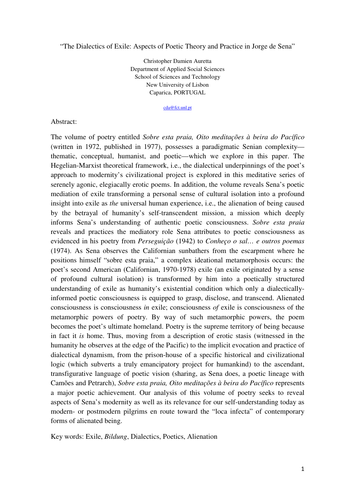"The Dialectics of Exile: Aspects of Poetic Theory and Practice in Jorge de Sena"

Christopher Damien Auretta Department of Applied Social Sciences School of Sciences and Technology New University of Lisbon Caparica, PORTUGAL

cda@fct.unl.pt

Abstract:

The volume of poetry entitled *Sobre esta praia, Oito meditações à beira do Pacífico* (written in 1972, published in 1977), possesses a paradigmatic Senian complexity thematic, conceptual, humanist, and poetic—which we explore in this paper. The Hegelian-Marxist theoretical framework, i.e., the dialectical underpinnings of the poet's approach to modernity's civilizational project is explored in this meditative series of serenely agonic, elegiacally erotic poems. In addition, the volume reveals Sena's poetic mediation of exile transforming a personal sense of cultural isolation into a profound insight into exile as *the* universal human experience, i.e., the alienation of being caused by the betrayal of humanity's self-transcendent mission, a mission which deeply informs Sena's understanding of authentic poetic consciousness. *Sobre esta praia* reveals and practices the mediatory role Sena attributes to poetic consciousness as evidenced in his poetry from *Perseguição* (1942) to *Conheço o sal… e outros poemas* (1974). As Sena observes the Californian sunbathers from the escarpment where he positions himself "sobre esta praia," a complex ideational metamorphosis occurs: the poet's second American (Californian, 1970-1978) exile (an exile originated by a sense of profound cultural isolation) is transformed by him into a poetically structured understanding of exile as humanity's existential condition which only a dialecticallyinformed poetic consciousness is equipped to grasp, disclose, and transcend. Alienated consciousness is consciousness *in* exile; consciousness *of* exile is consciousness of the metamorphic powers of poetry. By way of such metamorphic powers, the poem becomes the poet's ultimate homeland. Poetry is the supreme territory of being because in fact it *is* home. Thus, moving from a description of erotic stasis (witnessed in the humanity he observes at the edge of the Pacific) to the implicit evocation and practice of dialectical dynamism, from the prison-house of a specific historical and civilizational logic (which subverts a truly emancipatory project for humankind) to the ascendant, transfigurative language of poetic vision (sharing, as Sena does, a poetic lineage with Camões and Petrarch), *Sobre esta praia, Oito meditações à beira do Pacífico* represents a major poetic achievement. Our analysis of this volume of poetry seeks to reveal aspects of Sena's modernity as well as its relevance for our self-understanding today as modern- or postmodern pilgrims en route toward the "loca infecta" of contemporary forms of alienated being.

Key words: Exile, *Bildung*, Dialectics, Poetics, Alienation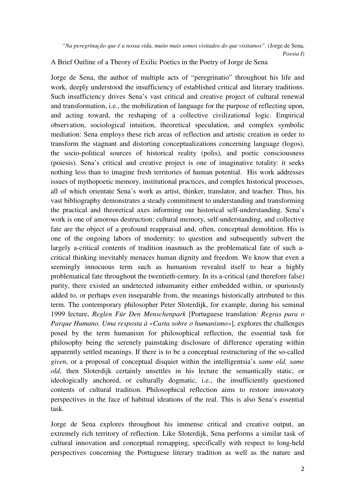*"Na peregrinação que é a nossa vida, muito mais somos visitados do que visitamos".* (Jorge de Sena, *Poesia I*)

A Brief Outline of a Theory of Exilic Poetics in the Poetry of Jorge de Sena

Jorge de Sena, the author of multiple acts of "peregrinatio" throughout his life and work, deeply understood the insufficiency of established critical and literary traditions. Such insufficiency drives Sena's vast critical and creative project of cultural renewal and transformation, i.e., the mobilization of language for the purpose of reflecting upon, and acting toward, the reshaping of a collective civilizational logic. Empirical observation, sociological intuition, theoretical speculation, and complex symbolic mediation: Sena employs these rich areas of reflection and artistic creation in order to transform the stagnant and distorting conceptualizations concerning language (logos), the socio-political sources of historical reality (polis), and poetic consciousness (poiesis). Sena's critical and creative project is one of imaginative totality: it seeks nothing less than to imagine fresh territories of human potential. His work addresses issues of mythopoetic memory, institutional practices, and complex historical processes, all of which orientate Sena's work as artist, thinker, translator, and teacher. Thus, his vast bibliography demonstrates a steady commitment to understanding and transforming the practical and theoretical axes informing our historical self-understanding. Sena's work is one of amorous destruction: cultural memory, self-understanding, and collective fate are the object of a profound reappraisal and, often, conceptual demolition. His is one of the ongoing labors of modernity: to question and subsequently subvert the largely a-critical contents of tradition inasmuch as the problematical fate of such acritical thinking inevitably menaces human dignity and freedom. We know that even a seemingly innocuous term such as humanism revealed itself to bear a highly problematical fate throughout the twentieth-century. In its a-critical (and therefore false) purity, there existed an undetected inhumanity either embedded within, or spuriously added to, or perhaps even inseparable from, the meanings historically attributed to this term. The contemporary philosopher Peter Sloterdijk, for example, during his seminal 1999 lecture, *Reglen Für Den Menschenpark* [Portuguese translation: *Regras para o Parque Humano, Uma resposta à «Carta sobre o humanismo»*], explores the challenges posed by the term humanism for philosophical reflection, the essential task for philosophy being the serenely painstaking disclosure of difference operating within apparently settled meanings. If there is to be a conceptual restructuring of the so-called *given*, or a proposal of conceptual disquiet within the intelligentsia's *same old, same old*, then Sloterdijk certainly unsettles in his lecture the semantically static, or ideologically anchored, or culturally dogmatic, i.e., the insufficiently questioned contents of cultural tradition. Philosophical reflection aims to restore innovatory perspectives in the face of habitual ideations of the real. This is also Sena's essential task.

Jorge de Sena explores throughout his immense critical and creative output, an extremely rich territory of reflection. Like Sloterdijk, Sena performs a similar task of cultural innovation and conceptual remapping, specifically with respect to long-held perspectives concerning the Portuguese literary tradition as well as the nature and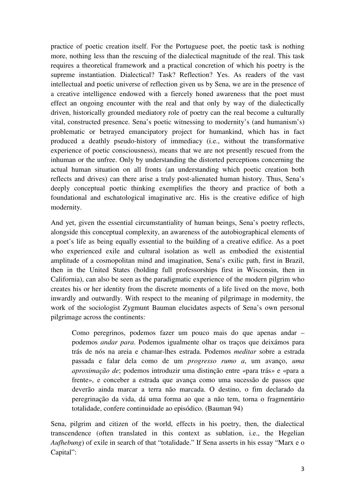practice of poetic creation itself. For the Portuguese poet, the poetic task is nothing more, nothing less than the rescuing of the dialectical magnitude of the real. This task requires a theoretical framework and a practical concretion of which his poetry is the supreme instantiation. Dialectical? Task? Reflection? Yes. As readers of the vast intellectual and poetic universe of reflection given us by Sena, we are in the presence of a creative intelligence endowed with a fiercely honed awareness that the poet must effect an ongoing encounter with the real and that only by way of the dialectically driven, historically grounded mediatory role of poetry can the real become a culturally vital, constructed presence. Sena's poetic witnessing to modernity's (and humanism's) problematic or betrayed emancipatory project for humankind, which has in fact produced a deathly pseudo-history of immediacy (i.e., without the transformative experience of poetic consciousness), means that we are not presently rescued from the inhuman or the unfree. Only by understanding the distorted perceptions concerning the actual human situation on all fronts (an understanding which poetic creation both reflects and drives) can there arise a truly post-alienated human history. Thus, Sena's deeply conceptual poetic thinking exemplifies the theory and practice of both a foundational and eschatological imaginative arc. His is the creative edifice of high modernity.

And yet, given the essential circumstantiality of human beings, Sena's poetry reflects, alongside this conceptual complexity, an awareness of the autobiographical elements of a poet's life as being equally essential to the building of a creative edifice. As a poet who experienced exile and cultural isolation as well as embodied the existential amplitude of a cosmopolitan mind and imagination, Sena's exilic path, first in Brazil, then in the United States (holding full professorships first in Wisconsin, then in California), can also be seen as the paradigmatic experience of the modern pilgrim who creates his or her identity from the discrete moments of a life lived on the move, both inwardly and outwardly. With respect to the meaning of pilgrimage in modernity, the work of the sociologist Zygmunt Bauman elucidates aspects of Sena's own personal pilgrimage across the continents:

Como peregrinos, podemos fazer um pouco mais do que apenas andar – podemos *andar para*. Podemos igualmente olhar os traços que deixámos para trás de nós na areia e chamar-lhes estrada. Podemos *meditar* sobre a estrada passada e falar dela como de um *progresso rumo a*, um avanço, *uma aproximação de*; podemos introduzir uma distinção entre «para trás» e «para a frente», e conceber a estrada que avança como uma sucessão de passos que deverão ainda marcar a terra não marcada. O destino, o fim declarado da peregrinação da vida, dá uma forma ao que a não tem, torna o fragmentário totalidade, confere continuidade ao episódico. (Bauman 94)

Sena, pilgrim and citizen of the world, effects in his poetry, then, the dialectical transcendence (often translated in this context as sublation, i.e., the Hegelian *Aufhebung*) of exile in search of that "totalidade." If Sena asserts in his essay "Marx e o Capital":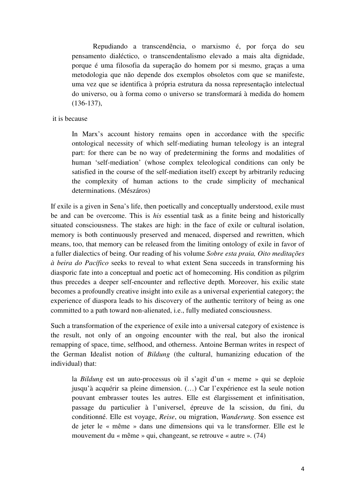Repudiando a transcendência, o marxismo é, por força do seu pensamento dialéctico, o transcendentalismo elevado a mais alta dignidade, porque é uma filosofia da superação do homem por si mesmo, graças a uma metodologia que não depende dos exemplos obsoletos com que se manifeste, uma vez que se identifica à própria estrutura da nossa representação intelectual do universo, ou à forma como o universo se transformará à medida do homem (136-137),

### it is because

In Marx's account history remains open in accordance with the specific ontological necessity of which self-mediating human teleology is an integral part: for there can be no way of predetermining the forms and modalities of human 'self-mediation' (whose complex teleological conditions can only be satisfied in the course of the self-mediation itself) except by arbitrarily reducing the complexity of human actions to the crude simplicity of mechanical determinations. (Mészáros)

If exile is a given in Sena's life, then poetically and conceptually understood, exile must be and can be overcome. This is *his* essential task as a finite being and historically situated consciousness. The stakes are high: in the face of exile or cultural isolation, memory is both continuously preserved and menaced, dispersed and rewritten, which means, too, that memory can be released from the limiting ontology of exile in favor of a fuller dialectics of being. Our reading of his volume *Sobre esta praia, Oito meditações à beira do Pacífico* seeks to reveal to what extent Sena succeeds in transforming his diasporic fate into a conceptual and poetic act of homecoming. His condition as pilgrim thus precedes a deeper self-encounter and reflective depth. Moreover, his exilic state becomes a profoundly creative insight into exile as a universal experiential category; the experience of diaspora leads to his discovery of the authentic territory of being as one committed to a path toward non-alienated, i.e., fully mediated consciousness.

Such a transformation of the experience of exile into a universal category of existence is the result, not only of an ongoing encounter with the real, but also the ironical remapping of space, time, selfhood, and otherness. Antoine Berman writes in respect of the German Idealist notion of *Bildung* (the cultural, humanizing education of the individual) that:

la *Bildung* est un auto-processus où il s'agit d'un « meme » qui se deploie jusqu'à acquérir sa pleine dimension. (…) Car l'expérience est la seule notion pouvant embrasser toutes les autres. Elle est élargissement et infinitisation, passage du particulier à l'universel, épreuve de la scission, du fini, du conditionné. Elle est voyage, *Reise*, ou migration, *Wanderung*. Son essence est de jeter le « même » dans une dimensions qui va le transformer. Elle est le mouvement du « même » qui, changeant, se retrouve « autre ». (74)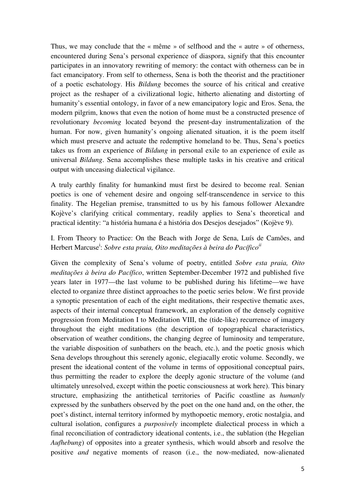Thus, we may conclude that the « même » of selfhood and the « autre » of otherness, encountered during Sena's personal experience of diaspora, signify that this encounter participates in an innovatory rewriting of memory: the contact with otherness can be in fact emancipatory. From self to otherness, Sena is both the theorist and the practitioner of a poetic eschatology. His *Bildung* becomes the source of his critical and creative project as the reshaper of a civilizational logic, hitherto alienating and distorting of humanity's essential ontology, in favor of a new emancipatory logic and Eros. Sena, the modern pilgrim, knows that even the notion of home must be a constructed presence of revolutionary *becoming* located beyond the present-day instrumentalization of the human. For now, given humanity's ongoing alienated situation, it is the poem itself which must preserve and actuate the redemptive homeland to be. Thus, Sena's poetics takes us from an experience of *Bildung* in personal exile to an experience of exile as universal *Bildung*. Sena accomplishes these multiple tasks in his creative and critical output with unceasing dialectical vigilance.

A truly earthly finality for humankind must first be desired to become real. Senian poetics is one of vehement desire and ongoing self-transcendence in service to this finality. The Hegelian premise, transmitted to us by his famous follower Alexandre Kojève's clarifying critical commentary, readily applies to Sena's theoretical and practical identity: "a história humana é a história dos Desejos desejados" (Kojève 9).

# I. From Theory to Practice: On the Beach with Jorge de Sena, Luís de Camões, and Herbert Marcuse<sup>i</sup>: Sobre esta praia, Oito meditações à beira do Pacífico<sup>ii</sup>

Given the complexity of Sena's volume of poetry, entitled *Sobre esta praia, Oito meditações à beira do Pacífico*, written September-December 1972 and published five years later in 1977—the last volume to be published during his lifetime—we have elected to organize three distinct approaches to the poetic series below. We first provide a synoptic presentation of each of the eight meditations, their respective thematic axes, aspects of their internal conceptual framework, an exploration of the densely cognitive progression from Meditation I to Meditation VIII, the (tide-like) recurrence of imagery throughout the eight meditations (the description of topographical characteristics, observation of weather conditions, the changing degree of luminosity and temperature, the variable disposition of sunbathers on the beach, etc.), and the poetic gnosis which Sena develops throughout this serenely agonic, elegiacally erotic volume. Secondly, we present the ideational content of the volume in terms of oppositional conceptual pairs, thus permitting the reader to explore the deeply agonic structure of the volume (and ultimately unresolved, except within the poetic consciousness at work here). This binary structure, emphasizing the antithetical territories of Pacific coastline as *humanly*  expressed by the sunbathers observed by the poet on the one hand and, on the other, the poet's distinct, internal territory informed by mythopoetic memory, erotic nostalgia, and cultural isolation, configures a *purposively* incomplete dialectical process in which a final reconciliation of contradictory ideational contents, i.e., the sublation (the Hegelian *Aufhebung*) of opposites into a greater synthesis, which would absorb and resolve the positive *and* negative moments of reason (i.e., the now-mediated, now-alienated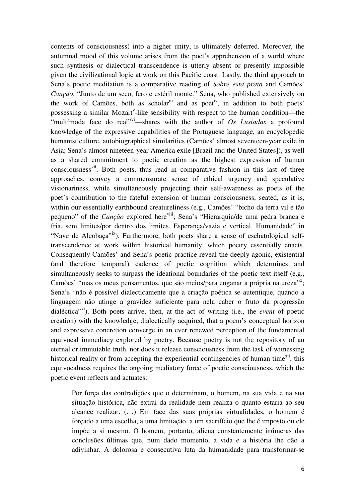contents of consciousness) into a higher unity, is ultimately deferred. Moreover, the autumnal mood of this volume arises from the poet's apprehension of a world where such synthesis or dialectical transcendence is utterly absent or presently impossible given the civilizational logic at work on this Pacific coast. Lastly, the third approach to Sena's poetic meditation is a comparative reading of *Sobre esta praia* and Camões' *Canção*, "Junto de um seco, fero e estéril monte." Sena, who published extensively on the work of Camões, both as scholar  $\ddot{a}$  and as poeti<sup>v</sup>, in addition to both poets' possessing a similar Mozart<sup>v</sup>-like sensibility with respect to the human condition—the "multímoda face do real"<sup>vi</sup>—shares with the author of *Os Lusíadas* a profound knowledge of the expressive capabilities of the Portuguese language, an encyclopedic humanist culture, autobiographical similarities (Camões' almost seventeen-year exile in Asia; Sena's almost nineteen-year America exile [Brazil and the United States]), as well as a shared commitment to poetic creation as the highest expression of human consciousness<sup>vii</sup>. Both poets, thus read in comparative fashion in this last of three approaches, convey a commensurate sense of ethical urgency and speculative visionariness, while simultaneously projecting their self-awareness as poets of the poet's contribution to the fateful extension of human consciousness, seated, as it is, within our essentially earthbound creatureliness (e.g., Camões' "bicho da terra vil e tão pequeno" of the *Canção* explored here<sup>viii</sup>; Sena's "Hierarquia/de uma pedra branca e fria, sem limites/por dentro dos limites. Esperança/vazia e vertical. Humanidade" in "Nave de Alcobaca"<sup>ix</sup>). Furthermore, both poets share a sense of eschatological selftranscendence at work within historical humanity, which poetry essentially enacts. Consequently Camões' and Sena's poetic practice reveal the deeply agonic, existential (and therefore temporal) cadence of poetic cognition which determines and simultaneously seeks to surpass the ideational boundaries of the poetic text itself (e.g., Camões' "mas os meus pensamentos, que são meios/para enganar a própria natureza"<sup>x</sup>; Sena's *"*não é possível dialecticamente que a criação poética se autentique, quando a linguagem não atinge a gravidez suficiente para nela caber o fruto da progressão dialéctica<sup>"xi</sup>). Both poets arrive, then, at the act of writing (i.e., the *event* of poetic creation) with the knowledge, dialectically acquired, that a poem's conceptual horizon and expressive concretion converge in an ever renewed perception of the fundamental equivocal immediacy explored by poetry. Because poetry is not the repository of an eternal or immutable truth, nor does it release consciousness from the task of witnessing historical reality or from accepting the experiential contingencies of human time $x^{i}$ , this equivocalness requires the ongoing mediatory force of poetic consciousness, which the poetic event reflects and actuates:

Por força das contradições que o determinam, o homem, na sua vida e na sua situação histórica, não extrai da realidade nem realiza o quanto estaria ao seu alcance realizar. (…) Em face das suas próprias virtualidades, o homem é forçado a uma escolha, a uma limitação, a um sacrifício que lhe é imposto ou ele impõe a si mesmo. O homem, portanto, aliena constantemente inúmeras das conclusões últimas que, num dado momento, a vida e a história lhe dão a adivinhar. A dolorosa e consecutiva luta da humanidade para transformar-se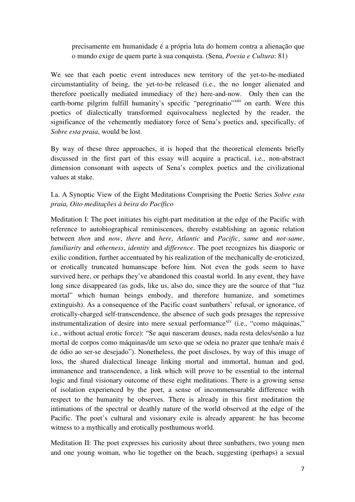## precisamente em humanidade é a própria luta do homem contra a alienação que o mundo exige de quem parte à sua conquista. (Sena, *Poesia e Cultura*: 81)

We see that each poetic event introduces new territory of the yet-to-be-mediated circumstantiality of being, the yet-to-be released (i.e., the no longer alienated and therefore poetically mediated immediacy of the) here-and-now. Only then can the earth-borne pilgrim fulfill humanity's specific "peregrinatio"<sup>xiii</sup> on earth. Were this poetics of dialectically transformed equivocalness neglected by the reader, the significance of the vehemently mediatory force of Sena's poetics and, specifically, of *Sobre esta praia*, would be lost.

By way of these three approaches, it is hoped that the theoretical elements briefly discussed in the first part of this essay will acquire a practical, i.e., non-abstract dimension consonant with aspects of Sena's complex poetics and the civilizational values at stake.

I.a. A Synoptic View of the Eight Meditations Comprising the Poetic Series *Sobre esta praia, Oito meditações à beira do Pacífico*

Meditation I: The poet initiates his eight-part meditation at the edge of the Pacific with reference to autobiographical reminiscences, thereby establishing an agonic relation between *then* and *now*, *there* and *here*, *Atlantic* and *Pacific*, *same* and *not-same*, *familiarity* and *otherness*, *identity* and *difference*. The poet recognizes his diasporic or exilic condition, further accentuated by his realization of the mechanically de-eroticized, or erotically truncated humanscape before him. Not even the gods seem to have survived here, or perhaps they've abandoned this coastal world. In any event, they have long since disappeared (as gods, like us, also do, since they are the source of that "luz mortal" which human beings embody, and therefore humanize, and sometimes extinguish). As a consequence of the Pacific coast sunbathers' refusal, or ignorance, of erotically-charged self-transcendence, the absence of such gods presages the repressive instrumentalization of desire into mere sexual performance<sup>xiv</sup> (i.e., "como máquinas," i.e., without actual erotic force): "Se aqui nasceram deuses, nada resta deles/senão a luz mortal de corpos como máquinas/de um sexo que se odeia no prazer que tenha/e mais é de ódio ao ser-se desejado"). Nonetheless, the poet discloses, by way of this image of loss, the shared dialectical lineage linking mortal and immortal, human and god, immanence and transcendence, a link which will prove to be essential to the internal logic and final visionary outcome of these eight meditations. There is a growing sense of isolation experienced by the poet, a sense of incommensurable difference with respect to the humanity he observes. There is already in this first meditation the intimations of the spectral or deathly nature of the world observed at the edge of the Pacific. The poet's cultural and visionary exile is already apparent: he has become witness to a mythically and erotically posthumous world.

Meditation II: The poet expresses his curiosity about three sunbathers, two young men and one young woman, who lie together on the beach, suggesting (perhaps) a sexual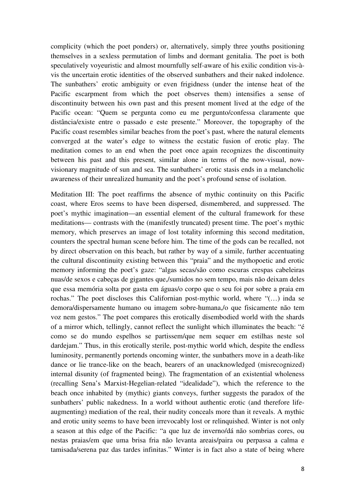complicity (which the poet ponders) or, alternatively, simply three youths positioning themselves in a sexless permutation of limbs and dormant genitalia. The poet is both speculatively voyeuristic and almost mournfully self-aware of his exilic condition vis-àvis the uncertain erotic identities of the observed sunbathers and their naked indolence. The sunbathers' erotic ambiguity or even frigidness (under the intense heat of the Pacific escarpment from which the poet observes them) intensifies a sense of discontinuity between his own past and this present moment lived at the edge of the Pacific ocean: "Quem se pergunta como eu me pergunto/confessa claramente que distância/existe entre o passado e este presente." Moreover, the topography of the Pacific coast resembles similar beaches from the poet's past, where the natural elements converged at the water's edge to witness the ecstatic fusion of erotic play. The meditation comes to an end when the poet once again recognizes the discontinuity between his past and this present, similar alone in terms of the now-visual, nowvisionary magnitude of sun and sea. The sunbathers' erotic stasis ends in a melancholic awareness of their unrealized humanity and the poet's profound sense of isolation.

Meditation III: The poet reaffirms the absence of mythic continuity on this Pacific coast, where Eros seems to have been dispersed, dismembered, and suppressed. The poet's mythic imagination—an essential element of the cultural framework for these meditations— contrasts with the (manifestly truncated) present time. The poet's mythic memory, which preserves an image of lost totality informing this second meditation, counters the spectral human scene before him. The time of the gods can be recalled, not by direct observation on this beach, but rather by way of a simile, further accentuating the cultural discontinuity existing between this "praia" and the mythopoetic and erotic memory informing the poet's gaze: "algas secas/são como escuras crespas cabeleiras nuas/de sexos e cabeças de gigantes que,/sumidos no sem tempo, mais não deixam deles que essa memória solta por gasta em águas/o corpo que o seu foi por sobre a praia em rochas." The poet discloses this Californian post-mythic world, where "(…) inda se demora/dispersamente humano ou imagem sobre-humana,/o que fisicamente não tem voz nem gestos." The poet compares this erotically disembodied world with the shards of a mirror which, tellingly, cannot reflect the sunlight which illuminates the beach: "é como se do mundo espelhos se partissem/que nem sequer em estilhas neste sol dardejam." Thus, in this erotically sterile, post-mythic world which, despite the endless luminosity, permanently portends oncoming winter, the sunbathers move in a death-like dance or lie trance-like on the beach, bearers of an unacknowledged (misrecognized) internal disunity (of fragmented being). The fragmentation of an existential wholeness (recalling Sena's Marxist-Hegelian-related "idealidade"), which the reference to the beach once inhabited by (mythic) giants conveys, further suggests the paradox of the sunbathers' public nakedness. In a world without authentic erotic (and therefore lifeaugmenting) mediation of the real, their nudity conceals more than it reveals. A mythic and erotic unity seems to have been irrevocably lost or relinquished. Winter is not only a season at this edge of the Pacific: "a que luz de inverno/dá não sombrias cores, ou nestas praias/em que uma brisa fria não levanta areais/paira ou perpassa a calma e tamisada/serena paz das tardes infinitas." Winter is in fact also a state of being where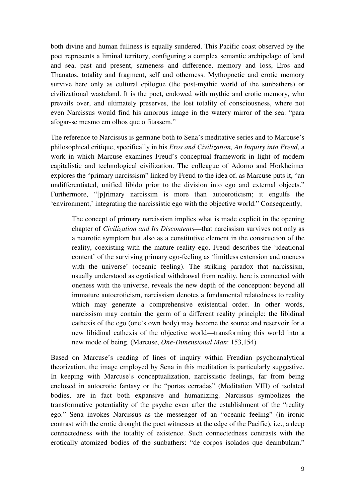both divine and human fullness is equally sundered. This Pacific coast observed by the poet represents a liminal territory, configuring a complex semantic archipelago of land and sea, past and present, sameness and difference, memory and loss, Eros and Thanatos, totality and fragment, self and otherness. Mythopoetic and erotic memory survive here only as cultural epilogue (the post-mythic world of the sunbathers) or civilizational wasteland. It is the poet, endowed with mythic and erotic memory, who prevails over, and ultimately preserves, the lost totality of consciousness, where not even Narcissus would find his amorous image in the watery mirror of the sea: "para afogar-se mesmo em olhos que o fitassem."

The reference to Narcissus is germane both to Sena's meditative series and to Marcuse's philosophical critique, specifically in his *Eros and Civilization, An Inquiry into Freud*, a work in which Marcuse examines Freud's conceptual framework in light of modern capitalistic and technological civilization. The colleague of Adorno and Horkheimer explores the "primary narcissism" linked by Freud to the idea of, as Marcuse puts it, "an undifferentiated, unified libido prior to the division into ego and external objects." Furthermore, "[p]rimary narcissim is more than autoeroticism; it engulfs the 'environment,' integrating the narcissistic ego with the objective world." Consequently,

The concept of primary narcissism implies what is made explicit in the opening chapter of *Civilization and Its Discontents*—that narcissism survives not only as a neurotic symptom but also as a constitutive element in the construction of the reality, coexisting with the mature reality ego. Freud describes the 'ideational content' of the surviving primary ego-feeling as 'limitless extension and oneness with the universe' (oceanic feeling). The striking paradox that narcissism, usually understood as egotistical withdrawal from reality, here is connected with oneness with the universe, reveals the new depth of the conception: beyond all immature autoeroticism, narcissism denotes a fundamental relatedness to reality which may generate a comprehensive existential order. In other words, narcissism may contain the germ of a different reality principle: the libidinal cathexis of the ego (one's own body) may become the source and reservoir for a new libidinal cathexis of the objective world—transforming this world into a new mode of being. (Marcuse, *One-Dimensional Man*: 153,154)

Based on Marcuse's reading of lines of inquiry within Freudian psychoanalytical theorization, the image employed by Sena in this meditation is particularly suggestive. In keeping with Marcuse's conceptualization, narcissistic feelings, far from being enclosed in autoerotic fantasy or the "portas cerradas" (Meditation VIII) of isolated bodies, are in fact both expansive and humanizing. Narcissus symbolizes the transformative potentiality of the psyche even after the establishment of the "reality ego." Sena invokes Narcissus as the messenger of an "oceanic feeling" (in ironic contrast with the erotic drought the poet witnesses at the edge of the Pacific), i.e., a deep connectedness with the totality of existence. Such connectedness contrasts with the erotically atomized bodies of the sunbathers: "de corpos isolados que deambulam."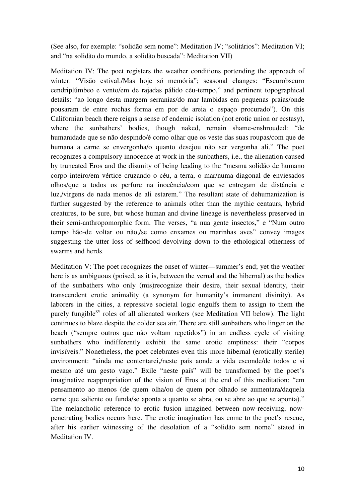(See also, for exemple: "solidão sem nome": Meditation IV; "solitários": Meditation VI; and "na solidão do mundo, a solidão buscada": Meditation VII)

Meditation IV: The poet registers the weather conditions portending the approach of winter: "Visão estival./Mas hoje só memória"; seasonal changes: "Escurobscuro cendriplúmbeo e vento/em de rajadas pálido céu-tempo," and pertinent topographical details: "ao longo desta margem serranias/do mar lambidas em pequenas praias/onde pousaram de entre rochas forma em por de areia o espaço procurado"). On this Californian beach there reigns a sense of endemic isolation (not erotic union or ecstasy), where the sunbathers' bodies, though naked, remain shame-enshrouded: "de humanidade que se não despindo/é como olhar que os veste das suas roupas/com que de humana a carne se envergonha/o quanto desejou não ser vergonha ali." The poet recognizes a compulsory innocence at work in the sunbathers, i.e., the alienation caused by truncated Eros and the disunity of being leading to the "mesma solidão de humano corpo inteiro/em vértice cruzando o céu, a terra, o mar/numa diagonal de enviesados olhos/que a todos os perfure na inocência/com que se entregam de distância e luz,/virgens de nada menos de ali estarem." The resultant state of dehumanization is further suggested by the reference to animals other than the mythic centaurs, hybrid creatures, to be sure, but whose human and divine lineage is nevertheless preserved in their semi-anthropomorphic form. The verses, "a nua gente insectos," e "Num outro tempo hão-de voltar ou não,/se como enxames ou marinhas aves" convey images suggesting the utter loss of selfhood devolving down to the ethological otherness of swarms and herds.

Meditation V: The poet recognizes the onset of winter—summer's end; yet the weather here is as ambiguous (poised, as it is, between the vernal and the hibernal) as the bodies of the sunbathers who only (mis)recognize their desire, their sexual identity, their transcendent erotic animality (a synonym for humanity's immanent divinity). As laborers in the cities, a repressive societal logic engulfs them to assign to them the purely fungible $x^v$  roles of all alienated workers (see Meditation VII below). The light continues to blaze despite the colder sea air. There are still sunbathers who linger on the beach ("sempre outros que não voltam repetidos") in an endless cycle of visiting sunbathers who indifferently exhibit the same erotic emptiness: their "corpos invisíveis." Nonetheless, the poet celebrates even this more hibernal (erotically sterile) environment: "ainda me contentarei,/neste país aonde a vida esconde/de todos e si mesmo até um gesto vago." Exile "neste país" will be transformed by the poet's imaginative reappropriation of the vision of Eros at the end of this meditation: "em pensamento ao menos (de quem olha/ou de quem por olhado se aumentara/daquela carne que saliente ou funda/se aponta a quanto se abra, ou se abre ao que se aponta)." The melancholic reference to erotic fusion imagined between now-receiving, nowpenetrating bodies occurs here. The erotic imagination has come to the poet's rescue, after his earlier witnessing of the desolation of a "solidão sem nome" stated in Meditation IV.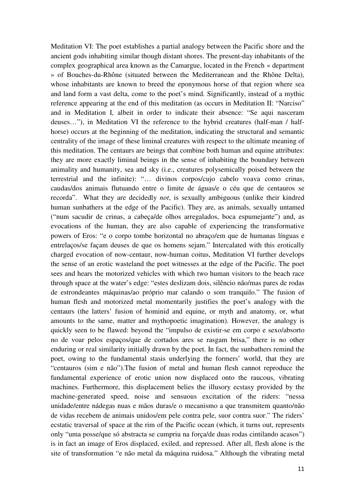Meditation VI: The poet establishes a partial analogy between the Pacific shore and the ancient gods inhabiting similar though distant shores. The present-day inhabitants of the complex geographical area known as the Camargue, located in the French « department » of Bouches-du-Rhône (situated between the Mediterranean and the Rhône Delta), whose inhabitants are known to breed the eponymous horse of that region where sea and land form a vast delta, come to the poet's mind. Significantly, instead of a mythic reference appearing at the end of this meditation (as occurs in Meditation II: "Narciso" and in Meditation I, albeit in order to indicate their absence: "Se aqui nasceram deuses…"), in Meditation VI the reference to the hybrid creatures (half-man / halfhorse) occurs at the beginning of the meditation, indicating the structural and semantic centrality of the image of these liminal creatures with respect to the ultimate meaning of this meditation. The centaurs are beings that combine both human and equine attributes: they are more exactly liminal beings in the sense of inhabiting the boundary between animality and humanity, sea and sky (i.e., creatures polysemically poised between the terrestrial and the infinite): "… divinos corpos/cujo cabelo voava como crinas, caudas/dos animais flutuando entre o limite de águas/e o céu que de centauros se recorda". What they are decidedly *not*, is sexually ambiguous (unlike their kindred human sunbathers at the edge of the Pacific). They are, as animals, sexually untamed ("num sacudir de crinas, a cabeça/de olhos arregalados, boca espumejante") and, as evocations of the human, they are also capable of experiencing the transformative powers of Eros: "e o corpo tombe horizontal no abraço/em que de humanas línguas e entrelaços/se façam deuses de que os homens sejam." Intercalated with this erotically charged evocation of now-centaur, now-human coitus, Meditation VI further develops the sense of an erotic wasteland the poet witnesses at the edge of the Pacific. The poet sees and hears the motorized vehicles with which two human visitors to the beach race through space at the water's edge: "estes deslizam dois, silêncio não/mas pares de rodas de estrondeantes máquinas/ao próprio mar calando o som tranquilo." The fusion of human flesh and motorized metal momentarily justifies the poet's analogy with the centaurs (the latters' fusion of hominid and equine, or myth and anatomy, or, what amounts to the same, matter and mythopoetic imagination). However, the analogy is quickly seen to be flawed: beyond the "impulso de existir-se em corpo e sexo/absorto no de voar pelos espaços/que de cortados ares se rasgam brisa," there is no other enduring or real similarity initially drawn by the poet. In fact, the sunbathers remind the poet, owing to the fundamental stasis underlying the formers' world, that they are "centauros (sim e não").The fusion of metal and human flesh cannot reproduce the fundamental experience of erotic union now displaced onto the raucous, vibrating machines. Furthermore, this displacement belies the illusory ecstasy provided by the machine-generated speed, noise and sensuous excitation of the riders: "nessa unidade/entre nádegas nuas e mãos duras/e o mecanismo a que transmitem quanto/não de vidas recebem de animais unidos/em pele contra pele, suor contra suor." The riders' ecstatic traversal of space at the rim of the Pacific ocean (which, it turns out, represents only "uma posse/que só abstracta se cumpriu na força/de duas rodas cintilando acasos") is in fact an image of Eros displaced, exiled, and repressed. After all, flesh alone is the site of transformation "e não metal da máquina ruidosa." Although the vibrating metal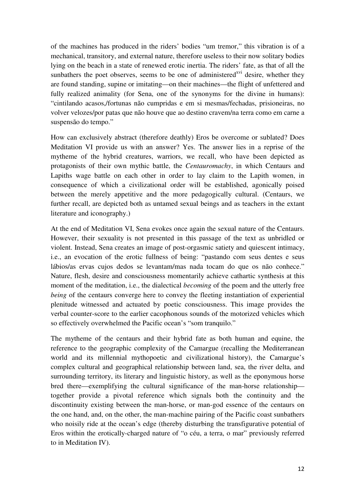of the machines has produced in the riders' bodies "um tremor," this vibration is of a mechanical, transitory, and external nature, therefore useless to their now solitary bodies lying on the beach in a state of renewed erotic inertia. The riders' fate, as that of all the sunbathers the poet observes, seems to be one of administered<sup>xvi</sup> desire, whether they are found standing, supine or imitating—on their machines—the flight of unfettered and fully realized animality (for Sena, one of the synonyms for the divine in humans): "cintilando acasos,/fortunas não cumpridas e em si mesmas/fechadas, prisioneiras, no volver velozes/por patas que não houve que ao destino cravem/na terra como em carne a suspensão do tempo."

How can exclusively abstract (therefore deathly) Eros be overcome or sublated? Does Meditation VI provide us with an answer? Yes. The answer lies in a reprise of the mytheme of the hybrid creatures, warriors, we recall, who have been depicted as protagonists of their own mythic battle, the *Centauromachy*, in which Centaurs and Lapiths wage battle on each other in order to lay claim to the Lapith women, in consequence of which a civilizational order will be established, agonically poised between the merely appetitive and the more pedagogically cultural. (Centaurs, we further recall, are depicted both as untamed sexual beings and as teachers in the extant literature and iconography.)

At the end of Meditation VI, Sena evokes once again the sexual nature of the Centaurs. However, their sexuality is not presented in this passage of the text as unbridled or violent. Instead, Sena creates an image of post-orgasmic satiety and quiescent intimacy, i.e., an evocation of the erotic fullness of being: "pastando com seus dentes e seus lábios/as ervas cujos dedos se levantam/mas nada tocam do que os não conhece." Nature, flesh, desire and consciousness momentarily achieve cathartic synthesis at this moment of the meditation, i.e., the dialectical *becoming* of the poem and the utterly free *being* of the centaurs converge here to convey the fleeting instantiation of experiential plenitude witnessed and actuated by poetic consciousness. This image provides the verbal counter-score to the earlier cacophonous sounds of the motorized vehicles which so effectively overwhelmed the Pacific ocean's "som tranquilo."

The mytheme of the centaurs and their hybrid fate as both human and equine, the reference to the geographic complexity of the Camargue (recalling the Mediterranean world and its millennial mythopoetic and civilizational history), the Camargue's complex cultural and geographical relationship between land, sea, the river delta, and surrounding territory, its literary and linguistic history, as well as the eponymous horse bred there—exemplifying the cultural significance of the man-horse relationship together provide a pivotal reference which signals both the continuity and the discontinuity existing between the man-horse, or man-god essence of the centaurs on the one hand, and, on the other, the man-machine pairing of the Pacific coast sunbathers who noisily ride at the ocean's edge (thereby disturbing the transfigurative potential of Eros within the erotically-charged nature of "o céu, a terra, o mar" previously referred to in Meditation IV).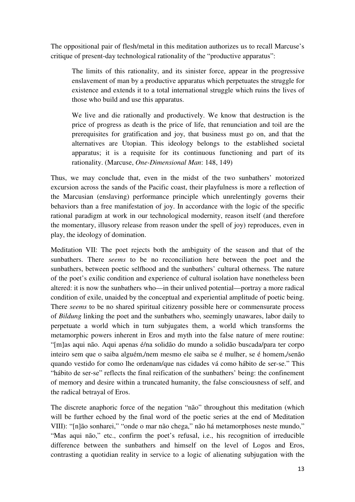The oppositional pair of flesh/metal in this meditation authorizes us to recall Marcuse's critique of present-day technological rationality of the "productive apparatus":

The limits of this rationality, and its sinister force, appear in the progressive enslavement of man by a productive apparatus which perpetuates the struggle for existence and extends it to a total international struggle which ruins the lives of those who build and use this apparatus.

We live and die rationally and productively. We know that destruction is the price of progress as death is the price of life, that renunciation and toil are the prerequisites for gratification and joy, that business must go on, and that the alternatives are Utopian. This ideology belongs to the established societal apparatus; it is a requisite for its continuous functioning and part of its rationality. (Marcuse, *One-Dimensional Man*: 148, 149)

Thus, we may conclude that, even in the midst of the two sunbathers' motorized excursion across the sands of the Pacific coast, their playfulness is more a reflection of the Marcusian (enslaving) performance principle which unrelentingly governs their behaviors than a free manifestation of joy. In accordance with the logic of the specific rational paradigm at work in our technological modernity, reason itself (and therefore the momentary, illusory release from reason under the spell of joy) reproduces, even in play, the ideology of domination.

Meditation VII: The poet rejects both the ambiguity of the season and that of the sunbathers. There *seems* to be no reconciliation here between the poet and the sunbathers, between poetic selfhood and the sunbathers' cultural otherness. The nature of the poet's exilic condition and experience of cultural isolation have nonetheless been altered: it is now the sunbathers who—in their unlived potential—portray a more radical condition of exile, unaided by the conceptual and experiential amplitude of poetic being. There *seems* to be no shared spiritual citizenry possible here or commensurate process of *Bildung* linking the poet and the sunbathers who, seemingly unawares, labor daily to perpetuate a world which in turn subjugates them, a world which transforms the metamorphic powers inherent in Eros and myth into the false nature of mere routine: "[m]as aqui não. Aqui apenas é/na solidão do mundo a solidão buscada/para ter corpo inteiro sem que o saiba alguém,/nem mesmo ele saiba se é mulher, se é homem,/senão quando vestido for como lhe ordenam/que nas cidades vá como hábito de ser-se." This "hábito de ser-se" reflects the final reification of the sunbathers' being: the confinement of memory and desire within a truncated humanity, the false consciousness of self, and the radical betrayal of Eros.

The discrete anaphoric force of the negation "não" throughout this meditation (which will be further echoed by the final word of the poetic series at the end of Meditation VIII): "[n]ão sonharei," "onde o mar não chega," não há metamorphoses neste mundo," "Mas aqui não," etc., confirm the poet's refusal, i.e., his recognition of irreducible difference between the sunbathers and himself on the level of Logos and Eros, contrasting a quotidian reality in service to a logic of alienating subjugation with the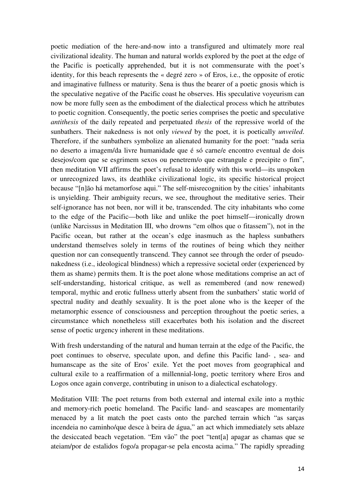poetic mediation of the here-and-now into a transfigured and ultimately more real civilizational ideality. The human and natural worlds explored by the poet at the edge of the Pacific is poetically apprehended, but it is not commensurate with the poet's identity, for this beach represents the « degré zero » of Eros, i.e., the opposite of erotic and imaginative fullness or maturity. Sena is thus the bearer of a poetic gnosis which is the speculative negative of the Pacific coast he observes. His speculative voyeurism can now be more fully seen as the embodiment of the dialectical process which he attributes to poetic cognition. Consequently, the poetic series comprises the poetic and speculative *antithesis* of the daily repeated and perpetuated *thesis* of the repressive world of the sunbathers. Their nakedness is not only *viewed* by the poet, it is poetically *unveiled*. Therefore, if the sunbathers symbolize an alienated humanity for the poet: "nada seria no deserto a imagem/da livre humanidade que é só carne/e encontro eventual de dois desejos/com que se esgrimem sexos ou penetrem/o que estrangule e precipite o fim", then meditation VII affirms the poet's refusal to identify with this world—its unspoken or unrecognized laws, its deathlike civilizational logic, its specific historical project because "[n]ão há metamorfose aqui." The self-misrecognition by the cities' inhabitants is unyielding. Their ambiguity recurs, we see, throughout the meditative series. Their self-ignorance has not been, nor will it be, transcended. The city inhabitants who come to the edge of the Pacific—both like and unlike the poet himself—ironically drown (unlike Narcissus in Meditation III, who drowns "em olhos que o fitassem"), not in the Pacific ocean, but rather at the ocean's edge inasmuch as the hapless sunbathers understand themselves solely in terms of the routines of being which they neither question nor can consequently transcend. They cannot see through the order of pseudonakedness (i.e., ideological blindness) which a repressive societal order (experienced by them as shame) permits them. It is the poet alone whose meditations comprise an act of self-understanding, historical critique, as well as remembered (and now renewed) temporal, mythic and erotic fullness utterly absent from the sunbathers' static world of spectral nudity and deathly sexuality. It is the poet alone who is the keeper of the metamorphic essence of consciousness and perception throughout the poetic series, a circumstance which nonetheless still exacerbates both his isolation and the discreet sense of poetic urgency inherent in these meditations.

With fresh understanding of the natural and human terrain at the edge of the Pacific, the poet continues to observe, speculate upon, and define this Pacific land- , sea- and humanscape as the site of Eros' exile. Yet the poet moves from geographical and cultural exile to a reaffirmation of a millennial-long, poetic territory where Eros and Logos once again converge, contributing in unison to a dialectical eschatology.

Meditation VIII: The poet returns from both external and internal exile into a mythic and memory-rich poetic homeland. The Pacific land- and seascapes are momentarily menaced by a lit match the poet casts onto the parched terrain which "as sarças incendeia no caminho/que desce à beira de água," an act which immediately sets ablaze the desiccated beach vegetation. "Em vão" the poet "tent[a] apagar as chamas que se ateiam/por de estalidos fogo/a propagar-se pela encosta acima." The rapidly spreading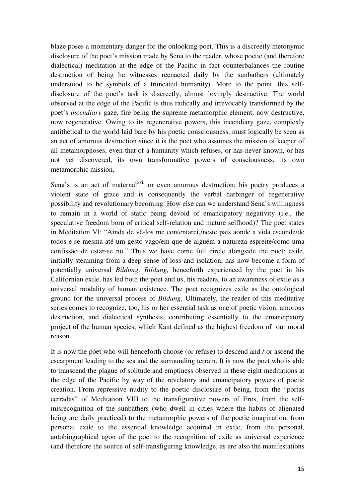blaze poses a momentary danger for the onlooking poet. This is a discreetly metonymic disclosure of the poet's mission made by Sena to the reader, whose poetic (and therefore dialectical) meditation at the edge of the Pacific in fact counterbalances the routine destruction of being he witnesses reenacted daily by the sunbathers (ultimately understood to be symbols of a truncated humanity). More to the point, this selfdisclosure of the poet's task is discreetly, almost lovingly destructive. The world observed at the edge of the Pacific is thus radically and irrevocably transformed by the poet's *incendiary* gaze, fire being the supreme metamorphic element, now destructive, now regenerative. Owing to its regenerative powers, this incendiary gaze, complexly antithetical to the world laid bare by his poetic consciousness, must logically be seen as an act of amorous destruction since it is the poet who assumes the mission of keeper of all metamorphoses, even that of a humanity which refuses, or has never known, or has not yet discovered, its own transformative powers of consciousness, its own metamorphic mission.

Sena's is an act of maternal<sup>xvii</sup> or even amorous destruction; his poetry produces a violent state of grace and is consequently the verbal harbinger of regenerative possibility and revolutionary becoming. How else can we understand Sena's willingness to remain in a world of static being devoid of emancipatory negativity (i.e., the speculative freedom born of critical self-relation and mature selfhood)? The poet states in Meditation VI: "Ainda de vê-los me contentarei,/neste país aonde a vida esconde/de todos e se mesma até um gesto vago/em que de alguém a natureza espreite/como uma confissão de estar-se nu." Thus we have come full circle alongside the poet: exile, initially stemming from a deep sense of loss and isolation, has now become a form of potentially universal *Bildung*. *Bildung,* henceforth experienced by the poet in his Californian exile, has led both the poet and us, his readers, to an awareness of exile *as* a universal modality of human existence. The poet recognizes exile as the ontological ground for the universal process of *Bildung*. Ultimately, the reader of this meditative series comes to recognize, too, his or her essential task as one of poetic vision, amorous destruction, and dialectical synthesis, contributing essentially to the emancipatory project of the human species, which Kant defined as the highest freedom of our moral reason.

It is now the poet who will henceforth choose (or refuse) to descend and / or ascend the escarpment leading to the sea and the surrounding terrain. It is now the poet who is able to transcend the plague of solitude and emptiness observed in these eight meditations at the edge of the Pacific by way of the revelatory and emancipatory powers of poetic creation. From repressive nudity to the poetic disclosure of being, from the "portas cerradas" of Meditation VIII to the transfigurative powers of Eros, from the selfmisrecognition of the sunbathers (who dwell in cities where the habits of alienated being are daily practiced) to the metamorphic powers of the poetic imagination, from personal exile to the essential knowledge acquired in exile, from the personal, autobiographical agon of the poet to the recognition of exile as universal experience (and therefore the source of self-transfiguring knowledge, as are also the manifestations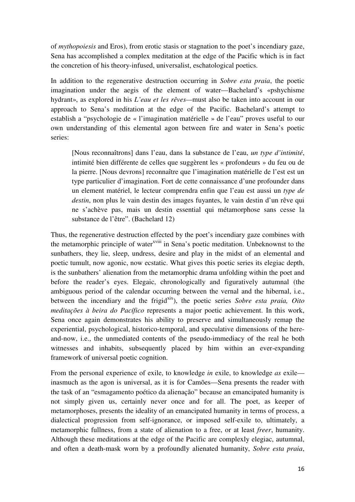of *mythopoiesis* and Eros), from erotic stasis or stagnation to the poet's incendiary gaze, Sena has accomplished a complex meditation at the edge of the Pacific which is in fact the concretion of his theory-infused, universalist, eschatological poetics.

In addition to the regenerative destruction occurring in *Sobre esta praia*, the poetic imagination under the aegis of the element of water—Bachelard's «pshychisme hydrant», as explored in his *L'eau et les rêves—*must also be taken into account in our approach to Sena's meditation at the edge of the Pacific. Bachelard's attempt to establish a "psychologie de « l'imagination matérielle » de l'eau" proves useful to our own understanding of this elemental agon between fire and water in Sena's poetic series:

[Nous reconnaîtrons] dans l'eau, dans la substance de l'eau, *un type d'intimité*, intimité bien différente de celles que suggèrent les « profondeurs » du feu ou de la pierre. [Nous devrons] reconnaître que l'imagination matérielle de l'est est un type particulier d'imagination. Fort de cette connaissance d'une profounder dans un element matériel, le lecteur comprendra enfin que l'eau est aussi un *type de destin*, non plus le vain destin des images fuyantes, le vain destin d'un rêve qui ne s'achève pas, mais un destin essential qui métamorphose sans cesse la substance de l'être". (Bachelard 12)

Thus, the regenerative destruction effected by the poet's incendiary gaze combines with the metamorphic principle of water<sup>xviii</sup> in Sena's poetic meditation. Unbeknownst to the sunbathers, they lie, sleep, undress, desire and play in the midst of an elemental and poetic tumult, now agonic, now ecstatic. What gives this poetic series its elegiac depth, is the sunbathers' alienation from the metamorphic drama unfolding within the poet and before the reader's eyes. Elegaic, chronologically and figuratively autumnal (the ambiguous period of the calendar occurring between the vernal and the hibernal, i.e., between the incendiary and the frigid<sup>xix</sup>), the poetic series *Sobre esta praia, Oito meditações à beira do Pacífico* represents a major poetic achievement. In this work, Sena once again demonstrates his ability to preserve and simultaneously remap the experiential, psychological, historico-temporal, and speculative dimensions of the hereand-now, i.e., the unmediated contents of the pseudo-immediacy of the real he both witnesses and inhabits, subsequently placed by him within an ever-expanding framework of universal poetic cognition.

From the personal experience of exile, to knowledge *in* exile, to knowledge *as* exile inasmuch as the agon is universal, as it is for Camões—Sena presents the reader with the task of an "esmagamento poético da alienação" because an emancipated humanity is not simply given us, certainly never once and for all. The poet, as keeper of metamorphoses, presents the ideality of an emancipated humanity in terms of process, a dialectical progression from self-ignorance, or imposed self-exile to, ultimately, a metamorphic fullness, from a state of alienation to a free, or at least *freer*, humanity. Although these meditations at the edge of the Pacific are complexly elegiac, autumnal, and often a death-mask worn by a profoundly alienated humanity, *Sobre esta praia*,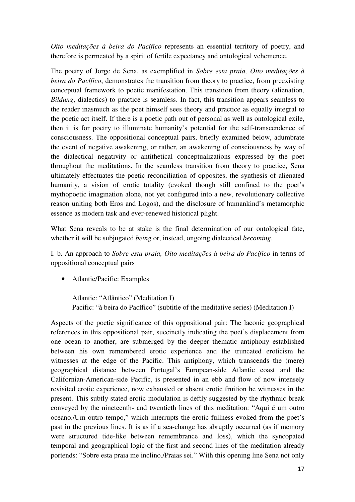*Oito meditações à beira do Pacífico* represents an essential territory of poetry, and therefore is permeated by a spirit of fertile expectancy and ontological vehemence.

The poetry of Jorge de Sena, as exemplified in *Sobre esta praia, Oito meditações à beira do Pacífico*, demonstrates the transition from theory to practice, from preexisting conceptual framework to poetic manifestation. This transition from theory (alienation, *Bildung*, dialectics) to practice is seamless. In fact, this transition appears seamless to the reader inasmuch as the poet himself sees theory and practice as equally integral to the poetic act itself. If there is a poetic path out of personal as well as ontological exile, then it is for poetry to illuminate humanity's potential for the self-transcendence of consciousness. The oppositional conceptual pairs, briefly examined below, adumbrate the event of negative awakening, or rather, an awakening of consciousness by way of the dialectical negativity or antithetical conceptualizations expressed by the poet throughout the meditations. In the seamless transition from theory to practice, Sena ultimately effectuates the poetic reconciliation of opposites, the synthesis of alienated humanity, a vision of erotic totality (evoked though still confined to the poet's mythopoetic imagination alone, not yet configured into a new, revolutionary collective reason uniting both Eros and Logos), and the disclosure of humankind's metamorphic essence as modern task and ever-renewed historical plight.

What Sena reveals to be at stake is the final determination of our ontological fate, whether it will be subjugated *being* or, instead, ongoing dialectical *becoming*.

I. b. An approach to *Sobre esta praia, Oito meditações à beira do Pacífico* in terms of oppositional conceptual pairs

• Atlantic/Pacific: Examples

Atlantic: "Atlântico" (Meditation I) Pacific: "à beira do Pacífico" (subtitle of the meditative series) (Meditation I)

Aspects of the poetic significance of this oppositional pair: The laconic geographical references in this oppositional pair, succinctly indicating the poet's displacement from one ocean to another, are submerged by the deeper thematic antiphony established between his own remembered erotic experience and the truncated eroticism he witnesses at the edge of the Pacific. This antiphony, which transcends the (mere) geographical distance between Portugal's European-side Atlantic coast and the Californian-American-side Pacific, is presented in an ebb and flow of now intensely revisited erotic experience, now exhausted or absent erotic fruition he witnesses in the present. This subtly stated erotic modulation is deftly suggested by the rhythmic break conveyed by the nineteenth- and twentieth lines of this meditation: "Aqui é um outro oceano./Um outro tempo," which interrupts the erotic fullness evoked from the poet's past in the previous lines. It is as if a sea-change has abruptly occurred (as if memory were structured tide-like between remembrance and loss), which the syncopated temporal and geographical logic of the first and second lines of the meditation already portends: "Sobre esta praia me inclino./Praias sei." With this opening line Sena not only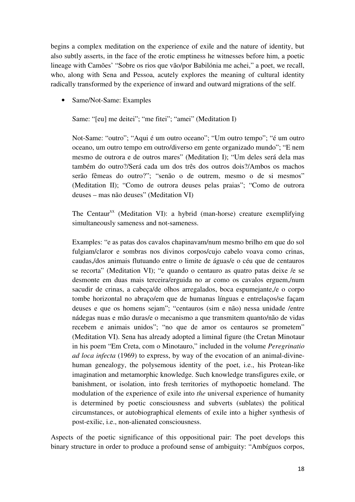begins a complex meditation on the experience of exile and the nature of identity, but also subtly asserts, in the face of the erotic emptiness he witnesses before him, a poetic lineage with Camões' "Sobre os rios que vão/por Babilónia me achei," a poet, we recall, who, along with Sena and Pessoa, acutely explores the meaning of cultural identity radically transformed by the experience of inward and outward migrations of the self.

• Same/Not-Same: Examples

Same: "[eu] me deitei"; "me fitei"; "amei" (Meditation I)

Not-Same: "outro"; "Aqui é um outro oceano"; "Um outro tempo"; "é um outro oceano, um outro tempo em outro/diverso em gente organizado mundo"; "E nem mesmo de outrora e de outros mares" (Meditation I); "Um deles será dela mas também do outro?/Será cada um dos três dos outros dois?/Ambos os machos serão fêmeas do outro?"; "senão o de outrem, mesmo o de si mesmos" (Meditation II); "Como de outrora deuses pelas praias"; "Como de outrora deuses – mas não deuses" (Meditation VI)

The Centaur<sup>xx</sup> (Meditation VI): a hybrid (man-horse) creature exemplifying simultaneously sameness and not-sameness.

Examples: "e as patas dos cavalos chapinavam/num mesmo brilho em que do sol fulgiam/claror e sombras nos divinos corpos/cujo cabelo voava como crinas, caudas,/dos animais flutuando entre o limite de águas/e o céu que de centauros se recorta" (Meditation VI); "e quando o centauro as quatro patas deixe /e se desmonte em duas mais terceira/erguida no ar como os cavalos erguem,/num sacudir de crinas, a cabeça/de olhos arregalados, boca espumejante,/e o corpo tombe horizontal no abraço/em que de humanas línguas e entrelaços/se façam deuses e que os homens sejam"; "centauros (sim e não) nessa unidade /entre nádegas nuas e mão duras/e o mecanismo a que transmitem quanto/não de vidas recebem e animais unidos"; "no que de amor os centauros se prometem" (Meditation VI). Sena has already adopted a liminal figure (the Cretan Minotaur in his poem "Em Creta, com o Minotauro," included in the volume *Peregrinatio ad loca infecta* (1969) to express, by way of the evocation of an animal-divinehuman genealogy, the polysemous identity of the poet, i.e., his Protean-like imagination and metamorphic knowledge. Such knowledge transfigures exile, or banishment, or isolation, into fresh territories of mythopoetic homeland. The modulation of the experience of exile into *the* universal experience of humanity is determined by poetic consciousness and subverts (sublates) the political circumstances, or autobiographical elements of exile into a higher synthesis of post-exilic, i.e., non-alienated consciousness.

Aspects of the poetic significance of this oppositional pair: The poet develops this binary structure in order to produce a profound sense of ambiguity: "Ambíguos corpos,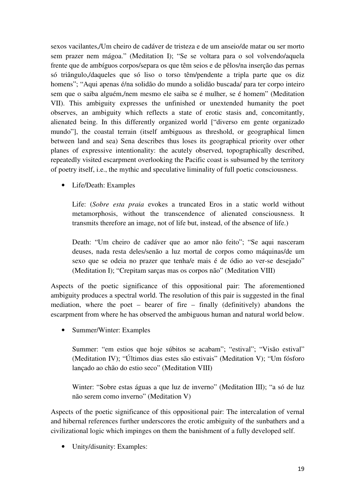sexos vacilantes,/Um cheiro de cadáver de tristeza e de um anseio/de matar ou ser morto sem prazer nem mágoa." (Meditation I); "Se se voltara para o sol volvendo/aquela frente que de ambíguos corpos/separa os que têm seios e de pêlos/na inserção das pernas só triângulo,/daqueles que só liso o torso têm/pendente a tripla parte que os diz homens"; "Aqui apenas é/na solidão do mundo a solidão buscada/ para ter corpo inteiro sem que o saiba alguém,/nem mesmo ele saiba se é mulher, se é homem" (Meditation VII). This ambiguity expresses the unfinished or unextended humanity the poet observes, an ambiguity which reflects a state of erotic stasis and, concomitantly, alienated being. In this differently organized world ["diverso em gente organizado mundo"], the coastal terrain (itself ambiguous as threshold, or geographical limen between land and sea) Sena describes thus loses its geographical priority over other planes of expressive intentionality: the acutely observed, topographically described, repeatedly visited escarpment overlooking the Pacific coast is subsumed by the territory of poetry itself, i.e., the mythic and speculative liminality of full poetic consciousness.

• Life/Death: Examples

Life: (*Sobre esta praia* evokes a truncated Eros in a static world without metamorphosis, without the transcendence of alienated consciousness. It transmits therefore an image, not of life but, instead, of the absence of life.)

Death: "Um cheiro de cadáver que ao amor não feito"; "Se aqui nasceram deuses, nada resta deles/senão a luz mortal de corpos como máquinas/de um sexo que se odeia no prazer que tenha/e mais é de ódio ao ver-se desejado" (Meditation I); "Crepitam sarças mas os corpos não" (Meditation VIII)

Aspects of the poetic significance of this oppositional pair: The aforementioned ambiguity produces a spectral world. The resolution of this pair is suggested in the final mediation, where the poet – bearer of fire – finally (definitively) abandons the escarpment from where he has observed the ambiguous human and natural world below.

• Summer/Winter: Examples

Summer: "em estios que hoje súbitos se acabam"; "estival"; "Visão estival" (Meditation IV); "Últimos dias estes são estivais" (Meditation V); "Um fósforo lançado ao chão do estio seco" (Meditation VIII)

Winter: "Sobre estas águas a que luz de inverno" (Meditation III); "a só de luz não serem como inverno" (Meditation V)

Aspects of the poetic significance of this oppositional pair: The intercalation of vernal and hibernal references further underscores the erotic ambiguity of the sunbathers and a civilizational logic which impinges on them the banishment of a fully developed self.

• Unity/disunity: Examples: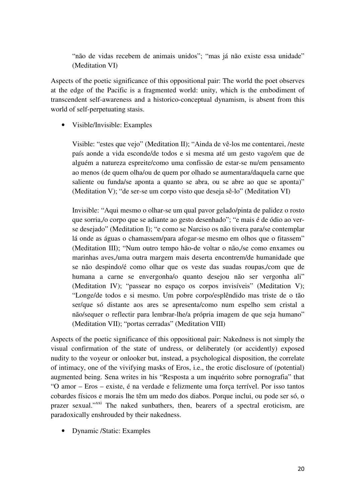"não de vidas recebem de animais unidos"; "mas já não existe essa unidade" (Meditation VI)

Aspects of the poetic significance of this oppositional pair: The world the poet observes at the edge of the Pacific is a fragmented world: unity, which is the embodiment of transcendent self-awareness and a historico-conceptual dynamism, is absent from this world of self-perpetuating stasis.

• Visible/Invisible: Examples

Visible: "estes que vejo" (Meditation II); "Ainda de vê-los me contentarei, /neste país aonde a vida esconde/de todos e si mesma até um gesto vago/em que de alguém a natureza espreite/como uma confissão de estar-se nu/em pensamento ao menos (de quem olha/ou de quem por olhado se aumentara/daquela carne que saliente ou funda/se aponta a quanto se abra, ou se abre ao que se aponta)" (Meditation V); "de ser-se um corpo visto que deseja sê-lo" (Meditation VI)

Invisible: "Aqui mesmo o olhar-se um qual pavor gelado/pinta de palidez o rosto que sorria,/o corpo que se adiante ao gesto desenhado"; "e mais é de ódio ao verse desejado" (Meditation I); "e como se Narciso os não tivera para/se contemplar lá onde as águas o chamassem/para afogar-se mesmo em olhos que o fitassem" (Meditation III); "Num outro tempo hão-de voltar o não,/se como enxames ou marinhas aves,/uma outra margem mais deserta encontrem/de humanidade que se não despindo/é como olhar que os veste das suadas roupas,/com que de humana a carne se envergonha/o quanto desejou não ser vergonha ali" (Meditation IV); "passear no espaço os corpos invisíveis" (Meditation V); "Longe/de todos e si mesmo. Um pobre corpo/esplêndido mas triste de o tão ser/que só distante aos ares se apresenta/como num espelho sem cristal a não/sequer o reflectir para lembrar-lhe/a própria imagem de que seja humano" (Meditation VII); "portas cerradas" (Meditation VIII)

Aspects of the poetic significance of this oppositional pair: Nakedness is not simply the visual confirmation of the state of undress, or deliberately (or accidently) exposed nudity to the voyeur or onlooker but, instead, a psychological disposition, the correlate of intimacy, one of the vivifying masks of Eros, i.e., the erotic disclosure of (potential) augmented being. Sena writes in his "Resposta a um inquérito sobre pornografia" that "O amor – Eros – existe, é na verdade e felizmente uma força terrível. Por isso tantos cobardes físicos e morais lhe têm um medo dos diabos. Porque inclui, ou pode ser só, o prazer sexual."<sup>xxi</sup> The naked sunbathers, then, bearers of a spectral eroticism, are paradoxically enshrouded by their nakedness.

• Dynamic /Static: Examples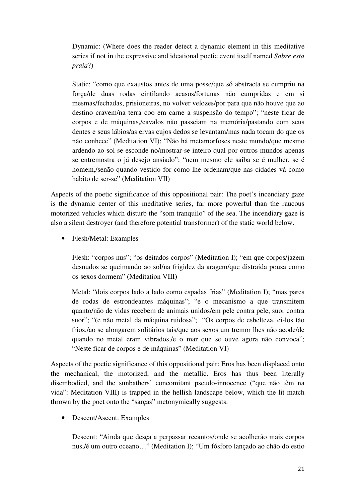Dynamic: (Where does the reader detect a dynamic element in this meditative series if not in the expressive and ideational poetic event itself named *Sobre esta praia*?)

Static: "como que exaustos antes de uma posse/que só abstracta se cumpriu na força/de duas rodas cintilando acasos/fortunas não cumpridas e em si mesmas/fechadas, prisioneiras, no volver velozes/por para que não houve que ao destino cravem/na terra coo em carne a suspensão do tempo"; "neste ficar de corpos e de máquinas,/cavalos não passeiam na memória/pastando com seus dentes e seus lábios/as ervas cujos dedos se levantam/mas nada tocam do que os não conhece" (Meditation VI); "Não há metamorfoses neste mundo/que mesmo ardendo ao sol se esconde no/mostrar-se inteiro qual por outros mundos apenas se entremostra o já desejo ansiado"; "nem mesmo ele saiba se é mulher, se é homem,/senão quando vestido for como lhe ordenam/que nas cidades vá como hábito de ser-se" (Meditation VII)

Aspects of the poetic significance of this oppositional pair: The poet's incendiary gaze is the dynamic center of this meditative series, far more powerful than the raucous motorized vehicles which disturb the "som tranquilo" of the sea. The incendiary gaze is also a silent destroyer (and therefore potential transformer) of the static world below.

• Flesh/Metal: Examples

Flesh: "corpos nus"; "os deitados corpos" (Meditation I); "em que corpos/jazem desnudos se queimando ao sol/na frigidez da aragem/que distraída pousa como os sexos dormem" (Meditation VIII)

Metal: "dois corpos lado a lado como espadas frias" (Meditation I); "mas pares de rodas de estrondeantes máquinas"; "e o mecanismo a que transmitem quanto/não de vidas recebem de animais unidos/em pele contra pele, suor contra suor"; "(e não metal da máquina ruidosa"; "Os corpos de esbelteza, ei-los tão frios,/ao se alongarem solitários tais/que aos sexos um tremor lhes não acode/de quando no metal eram vibrados,/e o mar que se ouve agora não convoca"; "Neste ficar de corpos e de máquinas" (Meditation VI)

Aspects of the poetic significance of this oppositional pair: Eros has been displaced onto the mechanical, the motorized, and the metallic. Eros has thus been literally disembodied, and the sunbathers' concomitant pseudo-innocence ("que não têm na vida": Meditation VIII) is trapped in the hellish landscape below, which the lit match thrown by the poet onto the "sarças" metonymically suggests.

• Descent/Ascent: Examples

Descent: "Ainda que desça a perpassar recantos/onde se acolherão mais corpos nus,/é um outro oceano…" (Meditation I); "Um fósforo lançado ao chão do estio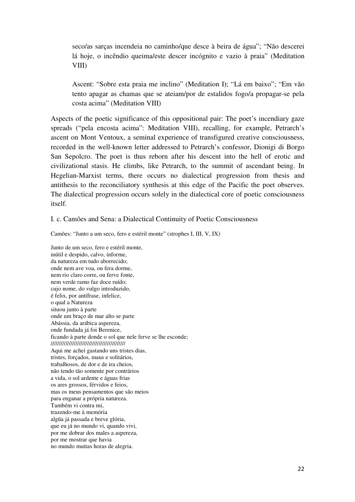seco/as sarças incendeia no caminho/que desce à beira de água"; "Não descerei lá hoje, o incêndio queima/este descer incógnito e vazio à praia" (Meditation VIII)

Ascent: "Sobre esta praia me inclino" (Meditation I); "Lá em baixo"; "Em vão tento apagar as chamas que se ateiam/por de estalidos fogo/a propagar-se pela costa acima" (Meditation VIII)

Aspects of the poetic significance of this oppositional pair: The poet's incendiary gaze spreads ("pela encosta acima": Meditation VIII), recalling, for example, Petrarch's ascent on Mont Ventoux, a seminal experience of transfigured creative consciousness, recorded in the well-known letter addressed to Petrarch's confessor, Dionigi di Borgo San Sepolcro. The poet is thus reborn after his descent into the hell of erotic and civilizational stasis. He climbs, like Petrarch, to the summit of ascendant being. In Hegelian-Marxist terms, there occurs no dialectical progression from thesis and antithesis to the reconciliatory synthesis at this edge of the Pacific the poet observes. The dialectical progression occurs solely in the dialectical core of poetic consciousness itself.

I. c. Camões and Sena: a Dialectical Continuity of Poetic Consciousness

Camões: "Junto a um seco, fero e estéril monte" (strophes I, III, V, IX)

Junto de um seco, fero e estéril monte, inútil e despido, calvo, informe, da natureza em tudo aborrecido; onde nem ave voa, ou fera dorme, nem rio claro corre, ou ferve fonte, nem verde ramo faz doce ruído; cujo nome, do vulgo introduzido, é felix, por antífrase, infelice, o qual a Natureza situou junto à parte onde um braço de mar alto se parte Abássia, da arábica aspereza, onde fundada já foi Berenice, ficando à parte donde o sol que nele ferve se lhe esconde; ///////////////////////////////////////////// Aqui me achei gastando uns tristes dias, tristes, forçados, maus e solitários, trabalhosos, de dor e de ira cheios, não tendo tão somente por contrários a vida, o sol ardente e águas frias os ares grossos, férvidos e feios, mas os meus pensamentos que são meios para enganar a própria natureza. Também vi contra mi, trazendo-me à memória algūa já passada e breve glória, que eu já no mundo vi, quando vivi, por me dobrar dos males a aspereza, por me mostrar que havia no mundo muitas horas de alegria.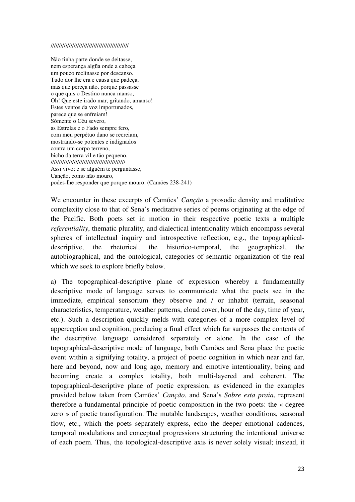#### ///////////////////////////////////////////////

Não tinha parte donde se deitasse, nem esperança algūa onde a cabeça um pouco reclinasse por descanso. Tudo dor lhe era e causa que padeça, mas que pereça não, porque passasse o que quis o Destino nunca manso, Oh! Que este irado mar, gritando, amanso! Estes ventos da voz importunados, parece que se enfreiam! Sòmente o Céu severo, as Estrelas e o Fado sempre fero, com meu perpétuo dano se recreiam, mostrando-se potentes e indignados contra um corpo terreno, bicho da terra vil e tão pequeno. ///////////////////////////////////////////// Assi vivo; e se alguém te perguntasse, Canção, como não mouro, podes-lhe responder que porque mouro. (Camões 238-241)

We encounter in these excerpts of Camões' *Canção* a prosodic density and meditative complexity close to that of Sena's meditative series of poems originating at the edge of the Pacific. Both poets set in motion in their respective poetic texts a multiple *referentiality*, thematic plurality, and dialectical intentionality which encompass several spheres of intellectual inquiry and introspective reflection, e.g., the topographicaldescriptive, the rhetorical, the historico-temporal, the geographical, the autobiographical, and the ontological, categories of semantic organization of the real which we seek to explore briefly below.

a) The topographical-descriptive plane of expression whereby a fundamentally descriptive mode of language serves to communicate what the poets see in the immediate, empirical sensorium they observe and / or inhabit (terrain, seasonal characteristics, temperature, weather patterns, cloud cover, hour of the day, time of year, etc.). Such a description quickly melds with categories of a more complex level of apperception and cognition, producing a final effect which far surpasses the contents of the descriptive language considered separately or alone. In the case of the topographical-descriptive mode of language, both Camões and Sena place the poetic event within a signifying totality, a project of poetic cognition in which near and far, here and beyond, now and long ago, memory and emotive intentionality, being and becoming create a complex totality, both multi-layered and coherent. The topographical-descriptive plane of poetic expression, as evidenced in the examples provided below taken from Camões' *Canção*, and Sena's *Sobre esta praia*, represent therefore a fundamental principle of poetic composition in the two poets: the « degree zero » of poetic transfiguration. The mutable landscapes, weather conditions, seasonal flow, etc., which the poets separately express, echo the deeper emotional cadences, temporal modulations and conceptual progressions structuring the intentional universe of each poem. Thus, the topological-descriptive axis is never solely visual; instead, it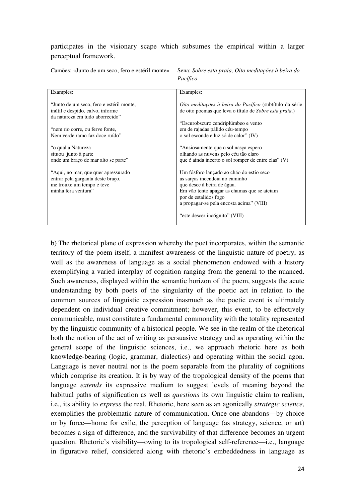participates in the visionary scape which subsumes the empirical within a larger perceptual framework.

Camões: «Junto de um seco, fero e estéril monte» Sena: *Sobre esta praia, Oito meditações à beira do* 

 *Pacífico* 

| Examples:                                | Examples:                                               |
|------------------------------------------|---------------------------------------------------------|
|                                          |                                                         |
| "Junto de um seco, fero e estéril monte, | Oito meditações à beira do Pacífico (subtítulo da série |
| inútil e despido, calvo, informe         | de oito poemas que leva o título de Sobre esta praia.)  |
| da natureza em tudo aborrecido"          |                                                         |
|                                          | "Escurobscuro cendriplúmbeo e vento                     |
| "nem rio corre, ou ferve fonte,          |                                                         |
|                                          | em de rajadas pálido céu-tempo                          |
| Nem verde ramo faz doce ruído"           | o sol esconde e luz só de calor" (IV)                   |
|                                          |                                                         |
| "o qual a Natureza                       | "Ansiosamente que o sol nasça espero                    |
| situou junto à parte                     | olhando as nuvens pelo céu tão claro                    |
| onde um braço de mar alto se parte"      | que é ainda incerto o sol romper de entre elas" (V)     |
|                                          |                                                         |
| "Aqui, no mar, que quer apressurado"     | Um fósforo lançado ao chão do estio seco                |
| entrar pela garganta deste braço,        | as sarças incendeia no caminho                          |
| me trouxe um tempo e teve                | que desce à beira de água.                              |
| minha fera ventura"                      | Em vão tento apagar as chamas que se ateiam             |
|                                          | por de estalidos fogo                                   |
|                                          |                                                         |
|                                          | a propagar-se pela encosta acima" (VIII)                |
|                                          |                                                         |
|                                          | "este descer incógnito" (VIII)                          |
|                                          |                                                         |

b) The rhetorical plane of expression whereby the poet incorporates, within the semantic territory of the poem itself, a manifest awareness of the linguistic nature of poetry, as well as the awareness of language as a social phenomenon endowed with a history exemplifying a varied interplay of cognition ranging from the general to the nuanced. Such awareness, displayed within the semantic horizon of the poem, suggests the acute understanding by both poets of the singularity of the poetic act in relation to the common sources of linguistic expression inasmuch as the poetic event is ultimately dependent on individual creative commitment; however, this event, to be effectively communicable, must constitute a fundamental commonality with the totality represented by the linguistic community of a historical people. We see in the realm of the rhetorical both the notion of the act of writing as persuasive strategy and as operating within the general scope of the linguistic sciences, i.e., we approach rhetoric here as both knowledge-bearing (logic, grammar, dialectics) and operating within the social agon. Language is never neutral nor is the poem separable from the plurality of cognitions which comprise its creation. It is by way of the tropological density of the poems that language *extends* its expressive medium to suggest levels of meaning beyond the habitual paths of signification as well as *questions* its own linguistic claim to realism, i.e., its ability to *express* the real. Rhetoric, here seen as an agonically *strategic science*, exemplifies the problematic nature of communication. Once one abandons—by choice or by force—home for exile, the perception of language (as strategy, science, or art) becomes a sign of difference, and the survivability of that difference becomes an urgent question. Rhetoric's visibility—owing to its tropological self-reference—i.e., language in figurative relief, considered along with rhetoric's embeddedness in language as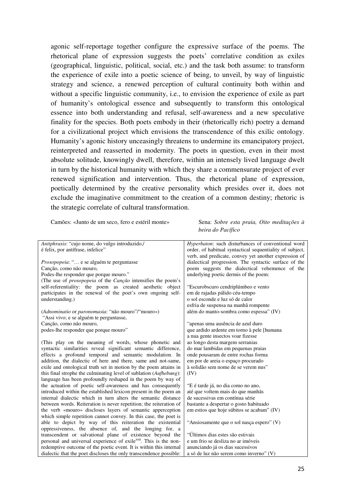agonic self-reportage together configure the expressive surface of the poems. The rhetorical plane of expression suggests the poets' correlative condition as exiles (geographical, linguistic, political, social, etc.) and the task both assume: to transform the experience of exile into a poetic science of being, to unveil, by way of linguistic strategy and science, a renewed perception of cultural continuity both within and without a specific linguistic community, i.e., to envision the experience of exile as part of humanity's ontological essence and subsequently to transform this ontological essence into both understanding and refusal, self-awareness and a new speculative finality for the species. Both poets embody in their (rhetorically rich) poetry a demand for a civilizational project which envisions the transcendence of this exilic ontology. Humanity's agonic history unceasingly threatens to undermine its emancipatory project, reinterpreted and reasserted in modernity. The poets in question, even in their most absolute solitude, knowingly dwell, therefore, within an intensely lived language dwelt in turn by the historical humanity with which they share a commensurate project of ever renewed signification and intervention. Thus, the rhetorical plane of expression, poetically determined by the creative personality which presides over it, does not exclude the imaginative commitment to the creation of a common destiny; rhetoric is the strategic correlate of cultural transformation.

Camões: «Junto de um seco, fero e estéril monte» Sena: *Sobre esta praia, Oito meditações à* 

*beira do Pacífico* 

| Antiphrasis: "cujo nome, do vulgo introduzido,/                               | Hyperbaton: such disturbances of conventional word       |
|-------------------------------------------------------------------------------|----------------------------------------------------------|
| é felix, por antífrase, infelice"                                             | order, of habitual syntactical sequentiality of subject, |
|                                                                               | verb, and predicate, convey yet another expression of    |
| Prosopopeia: " e se alguém te perguntasse                                     | dialectical progression. The syntactic surface of the    |
| Canção, como não mouro,                                                       | poem suggests the dialectical vehemence of the           |
| Podes-lhe responder que porque mouro."                                        | underlying poetic dermis of the poem:                    |
| (The use of <i>prosopopeia</i> of the <i>Canção</i> intensifies the poem's    |                                                          |
| self-referentiality: the poem as created aesthetic object                     | "Escurobscuro cendriplúmbeo e vento                      |
| participates in the renewal of the poet's own ongoing self-                   | em de rajadas pálido céu-tempo                           |
| understanding.)                                                               | o sol esconde e luz só de calor                          |
|                                                                               | esfria de suspensa na manhã rompente                     |
| (Adnominatio or paronomasia: "não mouro"/"mouro»)                             | além do manto-sombra como espessa" (IV)                  |
| "Assi vivo; e se alguém te perguntasse,                                       |                                                          |
| Canção, como não mouro,                                                       | "apenas uma ausência de azul duro                        |
| podes-lhe responder que porque mouro"                                         | que ardido ardente em torno à pele [humana               |
|                                                                               | a nua gente insectos voar fizesse                        |
| (This play on the meaning of words, whose phonetic and                        | ao longo desta margem serranias                          |
| syntactic similarities reveal significant semantic difference,                | do mar lambidas em pequenas praias                       |
| effects a profound temporal and semantic modulation. In                       | onde pousaram de entre rochas forma                      |
| addition, the dialectic of here and there, same and not-same,                 | em por de areia o espaço procurado                       |
| exile and ontological truth set in motion by the poem attains in              | à solidão sem nome de se verem nus"                      |
| this final strophe the culminating level of sublation (Aufhebung):            | (IV)                                                     |
| language has been profoundly reshaped in the poem by way of                   |                                                          |
| the actuation of poetic self-awareness and has consequently                   | "E é tarde já, no dia como no ano,                       |
| introduced within the established lexicon present in the poem an              | até que voltem mais do que manhãs                        |
| internal dialectic which in turn alters the semantic distance                 | de sucessivas em contínua série                          |
| between words. Reiteration is never repetition; the reiteration of            | bastante a despertar o gosto habituado                   |
| the verb «mouro» discloses layers of semantic apperception                    | em estios que hoje súbitos se acabam" (IV)               |
| which simple repetition cannot convey. In this case, the poet is              |                                                          |
| able to depict by way of this reiteration the existential                     | "Ansiosamente que o sol nasça espero" (V)                |
| oppressiveness, the absence of, and the longing for, a                        |                                                          |
| transcendent or salvational plane of existence beyond the                     | "Últimos dias estes são estivais                         |
| personal and universal experience of exile <sup>xxii</sup> . This is the non- | e um frio se desliza no ar imóveis                       |
| redemptive outcome of the poetic event. It is within this internal            | anunciando já os dias sucessivos                         |
| dialectic that the poet discloses the only transcendence possible:            | a só de luz não serem como inverno" (V)                  |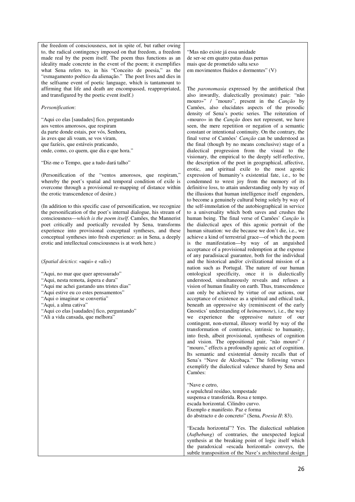the freedom of consciousness, not in spite of, but rather owing to, the radical contingency imposed on that freedom, a freedom made real by the poem itself. The poem thus functions as an ideality made concrete in the event of the poem; it exemplifies what Sena refers to, in his "Conceito de poesia," as the "esmagamento poético da alienação." The poet lives and dies in the selfsame event of poetic language, which is tantamount to affirming that life and death are encompassed, reappropriated, and transfigured by the poetic event itself.)

#### *Personification*:

"Aqui co elas [saudades] fico, perguntando aos ventos amorosos, que respiram da parte donde estais, por vós, Senhora, às aves que ali voam, se vos viram, que fazíeis, que estáveis praticando, onde, como, co quem, que dia e que hora."

"Diz-me o Tempo, que a tudo dará talho"

(Personification of the "ventos amorosos, que respiram," whereby the poet's spatial and temporal condition of exile is overcome through a provisional re-mapping of distance within the erotic transcendence of desire.)

(In addition to this specific case of personification, we recognize the personification of the poet's internal dialogue, his stream of consciousness—*which is the poem itself*. Camões, the Mannerist poet critically and poetically revealed by Sena, transforms experience into provisional conceptual syntheses, and these conceptual syntheses into fresh experience: as in Sena, a deeply erotic and intellectual consciousness is at work here.)

(*Spatial deictics*: «aqui» e «ali»)

"Aqui, no mar que quer apressurado" "Aqui, nesta remota, áspera e dura"

- "Aqui me achei gastando uns tristes dias"
- "Aqui estive eu co estes pensamentos"
- "Aqui o imaginar se convertia"
- "Aqui, a alma cativa"
- "Aqui co elas [saudades] fico, perguntando"
- "Ali a vida cansada, que melhora"

"Mas não existe já essa unidade de ser-se em quatro patas duas pernas mais que de prometido salta sexo em movimentos fluidos e dormentes" (V)

The *paronomasia* expressed by the antithetical (but also inwardly, dialectically proximate) pair: "não mouro»" / "mouro", present in the *Canção* by Camões, also elucidates aspects of the prosodic density of Sena's poetic series. The reiteration of «mouro» in the *Canção* does not represent, we have seen, the mere repetition or negation of a semantic constant or intentional continuity. On the contrary, the final verse of Camões' *Canção* can be understood as the final (though by no means conclusive) stage of a dialectical progression from the visual to the visionary, the empirical to the deeply self-reflective, the description of the poet in geographical, affective, erotic, and spiritual exile to the most agonic expression of humanity's existential fate, i.e., to be condemned to wrest joy from the memory of its definitive loss, to attain understanding only by way of the illusions that human intelligence itself engenders, to become a genuinely cultural being solely by way of the self-immolation of the autobiographical in service to a universality which both saves and crushes the human being. The final verse of Camões' *Canção* is the dialectical apex of this agonic portrait of the human situation: we die because we don't die, i.e., we achieve a kind of terrestrial grace—of which the poem is the manifestation—by way of an anguished acceptance of a provisional redemption at the expense of any paradisiacal guarantee, both for the individual and the historical and/or civilizational mission of a nation such as Portugal. The nature of our human ontological specificity, once it is dialectically understood, simultaneously reveals and refuses a vision of human finality on earth. Thus, transcendence can only be achieved by virtue of our actions, our acceptance of existence as a spiritual and ethical task, beneath an oppressive sky (reminiscent of the early Gnostics' understanding of *heimarmene*), i.e., the way we experience the oppressive nature of our contingent, non-eternal, illusory world by way of the transformation of contraries, intrinsic to humanity, into fresh, albeit provisional, syntheses of cognition and vision. The oppositional pair, "não mouro" / "mouro," effects a profoundly agonic act of cognition. Its semantic and existential density recalls that of Sena's "Nave de Alcobaça." The following verses exemplify the dialectical valence shared by Sena and Camões:

"Nave e cetro, e sepulchral resíduo, tempestade suspensa e transferida. Rosa e tempo. escada horizontal. Cilindro curvo. Exemplo e manifesto. Paz e forma do abstracto e do concreto" (Sena, *Poesia II*: 83).

"Escada horizontal"? Yes. The dialectical sublation (*Aufhebung*) of contraries, the unexpected logical synthesis at the breaking point of logic itself which the paradoxical «escada horizontal» conveys, the subtle transposition of the Nave's architectural design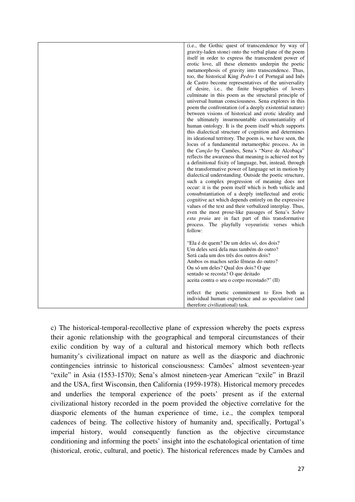| (i.e., the Gothic quest of transcendence by way of                                                            |
|---------------------------------------------------------------------------------------------------------------|
| gravity-laden stone) onto the verbal plane of the poem                                                        |
| itself in order to express the transcendent power of                                                          |
| erotic love, all these elements underpin the poetic                                                           |
|                                                                                                               |
| metamorphosis of gravity into transcendence. Thus,                                                            |
| too, the historical King <i>Pedro</i> I of Portugal and Inês                                                  |
| de Castro become representatives of the universality                                                          |
| of desire, i.e., the finite biographies of lovers                                                             |
| culminate in this poem as the structural principle of                                                         |
| universal human consciousness. Sena explores in this                                                          |
| poem the confrontation (of a deeply existential nature)                                                       |
| between visions of historical and erotic ideality and                                                         |
| the ultimately insurmountable circumstantiality of                                                            |
| human ontology. It is the poem itself which supports                                                          |
| this dialectical structure of cognition and determines                                                        |
| its ideational territory. The poem is, we have seen, the<br>locus of a fundamental metamorphic process. As in |
| the Canção by Camões, Sena's "Nave de Alcobaça"                                                               |
| reflects the awareness that meaning is achieved not by                                                        |
| a definitional fixity of language, but, instead, through                                                      |
| the transformative power of language set in motion by                                                         |
| dialectical understanding. Outside the poetic structure,                                                      |
| such a complex progression of meaning does not                                                                |
| occur: it is the poem itself which is both vehicle and                                                        |
| consubstantiation of a deeply intellectual and erotic                                                         |
| cognitive act which depends entirely on the expressive                                                        |
| values of the text and their verbalized interplay. Thus,                                                      |
| even the most prose-like passages of Sena's Sobre                                                             |
| esta praia are in fact part of this transformative                                                            |
| process. The playfully voyeuristic verses which                                                               |
| follow:                                                                                                       |
|                                                                                                               |
| "Ela é de quem? De um deles só, dos dois?                                                                     |
| Um deles será dela mas também do outro?                                                                       |
| Será cada um dos três dos outros dois?                                                                        |
| Ambos os machos serão fêmeas do outro?                                                                        |
| Ou só um deles? Qual dos dois? O que                                                                          |
| sentado se recosta? O que deitado                                                                             |
| aceita contra o seu o corpo recostado?" (II)                                                                  |
|                                                                                                               |
| reflect the poetic commitment to Eros both as                                                                 |
| individual human experience and as speculative (and                                                           |
| therefore civilizational) task.                                                                               |
|                                                                                                               |

c) The historical-temporal-recollective plane of expression whereby the poets express their agonic relationship with the geographical and temporal circumstances of their exilic condition by way of a cultural and historical memory which both reflects humanity's civilizational impact on nature as well as the diasporic and diachronic contingencies intrinsic to historical consciousness: Camões' almost seventeen-year "exile" in Asia (1553-1570); Sena's almost nineteen-year American "exile" in Brazil and the USA, first Wisconsin, then California (1959-1978). Historical memory precedes and underlies the temporal experience of the poets' present as if the external civilizational history recorded in the poem provided the objective correlative for the diasporic elements of the human experience of time, i.e., the complex temporal cadences of being. The collective history of humanity and, specifically, Portugal's imperial history, would consequently function as the objective circumstance conditioning and informing the poets' insight into the eschatological orientation of time (historical, erotic, cultural, and poetic). The historical references made by Camões and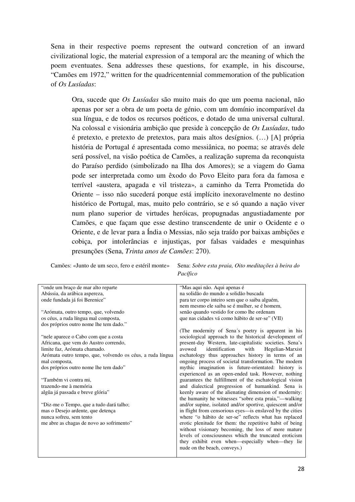Sena in their respective poems represent the outward concretion of an inward civilizational logic, the material expression of a temporal arc the meaning of which the poem eventuates. Sena addresses these questions, for example, in his discourse, "Camões em 1972," written for the quadricentennial commemoration of the publication of *Os Lusíadas*:

Ora, sucede que *Os Lusíadas* são muito mais do que um poema nacional, não apenas por ser a obra de um poeta de génio, com um domínio incomparável da sua língua, e de todos os recursos poéticos, e dotado de uma universal cultural. Na colossal e visionária ambição que preside à concepção de *Os Lusíadas*, tudo é pretexto, e pretexto de pretextos, para mais altos desígnios. (…) [A] própria história de Portugal é apresentada como messiânica, no poema; se através dele será possível, na visão poética de Camões, a realização suprema da reconquista do Paraíso perdido (simbolizado na Ilha dos Amores); se a viagem do Gama pode ser interpretada como um êxodo do Povo Eleito para fora da famosa e terrível «austera, apagada e vil tristeza», a caminho da Terra Prometida do Oriente – isso não sucederá porque está implícito inexoravelmente no destino histórico de Portugal, mas, muito pelo contrário, se e só quando a nação viver num plano superior de virtudes heróicas, propugnadas angustiadamente por Camões, e que façam que esse destino transcendente de unir o Ocidente e o Oriente, e de levar para a Índia o Messias, não seja traído por baixas ambições e cobiça, por intolerâncias e injustiças, por falsas vaidades e mesquinhas presunções (Sena, *Trinta anos de Camões*: 270).

Camões: «Junto de um seco, fero e estéril monte» Sena: *Sobre esta praia, Oito meditações à beira do* 

 *Pacífico* 

| "Mas aqui não. Aqui apenas é                              |
|-----------------------------------------------------------|
| na solidão do mundo a solidão buscada                     |
| para ter corpo inteiro sem que o saiba alguém,            |
| nem mesmo ele saiba se é mulher, se é homem,              |
| senão quando vestido for como lhe ordenam                 |
| que nas cidades vá como hábito de ser-se" (VII)           |
|                                                           |
| (The modernity of Sena's poetry is apparent in his        |
| sociological approach to the historical development of    |
| present-day Western, late-capitalistic societies. Sena's  |
| identification<br>avowed<br>with<br>Hegelian-Marxist      |
| eschatology thus approaches history in terms of an        |
| ongoing process of societal transformation. The modern    |
| mythic imagination is future-orientated: history is       |
| experienced as an open-ended task. However, nothing       |
| guarantees the fulfillment of the eschatological vision   |
| and dialectical progression of humankind. Sena is         |
| keenly aware of the alienating dimension of modernity:    |
| the humanity he witnesses "sobre esta praia,"—walking     |
| and/or supine, isolated and/or sportive, quiescent and/or |
| in flight from censorious eyes-is enslaved by the cities  |
| where "o hábito de ser-se" reflects what has replaced     |
| erotic plenitude for them: the repetitive habit of being  |
| without visionary becoming, the loss of more mature       |
| levels of consciousness which the truncated eroticism     |
| they exhibit even when—especially when—they lie           |
| nude on the beach, conveys.)                              |
|                                                           |
|                                                           |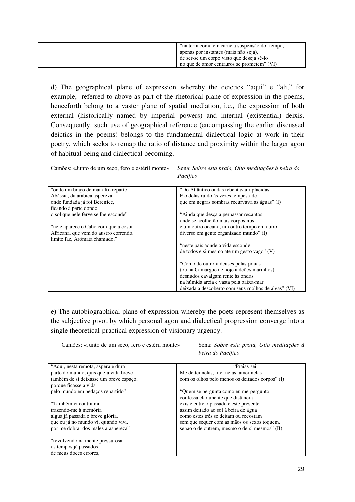| "na terra como em carne a suspensão do [tempo, |
|------------------------------------------------|
| apenas por instantes (mais não seja),          |
| de ser-se um corpo visto que deseja sê-lo      |
| no que de amor centauros se prometem" (VI)     |

d) The geographical plane of expression whereby the deictics "aqui" e "ali," for example, referred to above as part of the rhetorical plane of expression in the poems, henceforth belong to a vaster plane of spatial mediation, i.e., the expression of both external (historically named by imperial powers) and internal (existential) deixis. Consequently, such use of geographical reference (encompassing the earlier discussed deictics in the poems) belongs to the fundamental dialectical logic at work in their poetry, which seeks to remap the ratio of distance and proximity within the larger agon of habitual being and dialectical becoming.

Camões: «Junto de um seco, fero e estéril monte» Sena: *Sobre esta praia, Oito meditações à beira do Pacífico* 

| "onde um braço de mar alto reparte"   | "Do Atlântico ondas rebentavam plácidas             |
|---------------------------------------|-----------------------------------------------------|
| Abássia, da arábica aspereza,         | E o delas ruído às vezes tempestade                 |
| onde fundada já foi Berenice,         | que em negras sombras recurvava as águas" (I)       |
| ficando à parte donde                 |                                                     |
| o sol que nele ferve se lhe esconde"  | "Ainda que desça a perpassar recantos"              |
|                                       | onde se acolherão mais corpos nus,                  |
| "nele aparece o Cabo com que a costa  | é um outro oceano, um outro tempo em outro          |
| Africana, que vem do austro correndo, | diverso em gente organizado mundo" (I)              |
| limite faz, Arómata chamado."         |                                                     |
|                                       | "neste país aonde a vida esconde                    |
|                                       | de todos e si mesmo até um gesto vago" (V)          |
|                                       |                                                     |
|                                       | "Como de outrora deuses pelas praias"               |
|                                       | (ou na Camargue de hoje aldeões marinhos)           |
|                                       | desnudos cavalgam rente às ondas                    |
|                                       | na húmida areia e vasta pela baixa-mar              |
|                                       | deixada a descoberto com seus molhos de algas" (VI) |

e) The autobiographical plane of expression whereby the poets represent themselves as the subjective pivot by which personal agon and dialectical progression converge into a single theoretical-practical expression of visionary urgency.

Camões: «Junto de um seco, fero e estéril monte» Sena: *Sobre esta praia, Oito meditações à* 

*beira do Pacífico* 

| "Aqui, nesta remota, áspera e dura     | "Praias sei:                                    |
|----------------------------------------|-------------------------------------------------|
| parte do mundo, quis que a vida breve  | Me deitei nelas, fitei nelas, amei nelas        |
| também de si deixasse um breve espaço, | com os olhos pelo menos os deitados corpos" (I) |
| porque ficasse a vida                  |                                                 |
| pelo mundo em pedaços repartido"       | "Quem se pergunta como eu me pergunto           |
|                                        | confessa claramente que distância               |
| "Também vi contra mi,                  | existe entre o passado e este presente          |
| trazendo-me à memória                  | assim deitado ao sol à beira de água            |
| algua já passada e breve glória,       | como estes três se deitam ou recostam           |
| que eu já no mundo vi, quando vivi,    | sem que sequer com as mãos os sexos toquem,     |
| por me dobrar dos males a aspereza"    | senão o de outrem, mesmo o de si mesmos" (II)   |
|                                        |                                                 |
| "revolvendo na mente pressurosa        |                                                 |
| os tempos já passados                  |                                                 |
| de meus doces errores,                 |                                                 |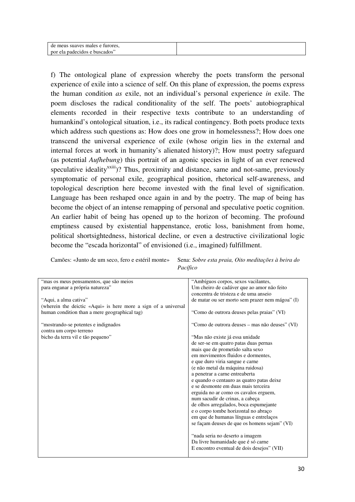| de meus suaves males e furores, |  |
|---------------------------------|--|
| por ela padecidos e buscados"   |  |
|                                 |  |

f) The ontological plane of expression whereby the poets transform the personal experience of exile into a science of self. On this plane of expression, the poems express the human condition *as* exile, not an individual's personal experience *in* exile. The poem discloses the radical conditionality of the self. The poets' autobiographical elements recorded in their respective texts contribute to an understanding of humankind's ontological situation, i.e., its radical contingency. Both poets produce texts which address such questions as: How does one grow in homelessness?; How does one transcend the universal experience of exile (whose origin lies in the external and internal forces at work in humanity's alienated history)?; How must poetry safeguard (as potential *Aufhebung*) this portrait of an agonic species in light of an ever renewed speculative ideality<sup>xxiii</sup>)? Thus, proximity and distance, same and not-same, previously symptomatic of personal exile, geographical position, rhetorical self-awareness, and topological description here become invested with the final level of signification. Language has been reshaped once again in and by the poetry. The map of being has become the object of an intense remapping of personal and speculative poetic cognition. An earlier habit of being has opened up to the horizon of becoming. The profound emptiness caused by existential happenstance, erotic loss, banishment from home, political shortsightedness, historical decline, or even a destructive civilizational logic become the "escada horizontal" of envisioned (i.e., imagined) fulfillment.

| Pacífico                                                        |                                                 |
|-----------------------------------------------------------------|-------------------------------------------------|
| "mas os meus pensamentos, que são meios                         | "Ambíguos corpos, sexos vacilantes,             |
| para enganar a própria natureza"                                | Um cheiro de cadáver que ao amor não feito      |
|                                                                 | concentra de tristeza e de uma anseio           |
| "Aqui, a alma cativa"                                           | de matar ou ser morto sem prazer nem mágoa" (I) |
| (wherein the deictic «Aqui» is here more a sign of a universal  |                                                 |
| human condition than a mere geographical tag)                   | "Como de outrora deuses pelas praias" (VI)      |
| "mostrando-se potentes e indignados"<br>contra um corpo terreno | "Como de outrora deuses – mas não deuses" (VI)  |
| bicho da terra vil e tão pequeno"                               | "Mas não existe já essa unidade                 |
|                                                                 | de ser-se em quatro patas duas pernas           |
|                                                                 | mais que de prometido salta sexo                |
|                                                                 | em movimentos fluidos e dormentes.              |
|                                                                 | e que duro viria sangue e carne                 |
|                                                                 | (e não metal da máquina ruidosa)                |
|                                                                 | a penetrar a carne entreaberta                  |
|                                                                 | e quando o centauro as quatro patas deixe       |
|                                                                 | e se desmonte em duas mais terceira             |
|                                                                 | erguida no ar como os cavalos erguem,           |
|                                                                 | num sacudir de crinas, a cabeça                 |
|                                                                 | de olhos arregalados, boca espumejante          |
|                                                                 | e o corpo tombe horizontal no abraço            |
|                                                                 | em que de humanas línguas e entrelaços          |
|                                                                 | se façam deuses de que os homens sejam" (VI)    |
|                                                                 | "nada seria no deserto a imagem                 |
|                                                                 | Da livre humanidade que é só carne              |
|                                                                 | E encontro eventual de dois desejos" (VII)      |
|                                                                 |                                                 |

Camões: «Junto de um seco, fero e estéril monte» Sena: *Sobre esta praia, Oito meditações à beira do*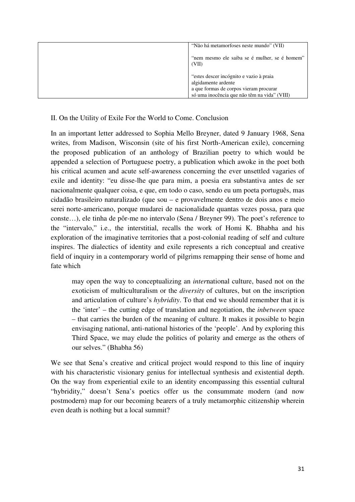| "Não há metamorfoses neste mundo" (VII)                |
|--------------------------------------------------------|
| "nem mesmo ele saiba se é mulher, se é homem"<br>(VII) |
| "estes descer incógnito e vazio à praia                |
| algidamente ardente                                    |
| a que formas de corpos vieram procurar                 |
| só uma inocência que não têm na vida" (VIII)           |

### II. On the Utility of Exile For the World to Come. Conclusion

In an important letter addressed to Sophia Mello Breyner, dated 9 January 1968, Sena writes, from Madison, Wisconsin (site of his first North-American exile), concerning the proposed publication of an anthology of Brazilian poetry to which would be appended a selection of Portuguese poetry, a publication which awoke in the poet both his critical acumen and acute self-awareness concerning the ever unsettled vagaries of exile and identity: "eu disse-lhe que para mim, a poesia era substantiva antes de ser nacionalmente qualquer coisa, e que, em todo o caso, sendo eu um poeta português, mas cidadão brasileiro naturalizado (que sou – e provavelmente dentro de dois anos e meio serei norte-americano, porque mudarei de nacionalidade quantas vezes possa, para que conste…), ele tinha de pôr-me no intervalo (Sena / Breyner 99). The poet's reference to the "intervalo," i.e., the interstitial, recalls the work of Homi K. Bhabha and his exploration of the imaginative territories that a post-colonial reading of self and culture inspires. The dialectics of identity and exile represents a rich conceptual and creative field of inquiry in a contemporary world of pilgrims remapping their sense of home and fate which

may open the way to conceptualizing an *inter*national culture, based not on the exoticism of multiculturalism or the *diversity* of cultures, but on the inscription and articulation of culture's *hybridity*. To that end we should remember that it is the 'inter' – the cutting edge of translation and negotiation, the *inbetween* space – that carries the burden of the meaning of culture. It makes it possible to begin envisaging national, anti-national histories of the 'people'. And by exploring this Third Space, we may elude the politics of polarity and emerge as the others of our selves." (Bhabha 56)

We see that Sena's creative and critical project would respond to this line of inquiry with his characteristic visionary genius for intellectual synthesis and existential depth. On the way from experiential exile to an identity encompassing this essential cultural "hybridity," doesn't Sena's poetics offer us the consummate modern (and now postmodern) map for our becoming bearers of a truly metamorphic citizenship wherein even death is nothing but a local summit?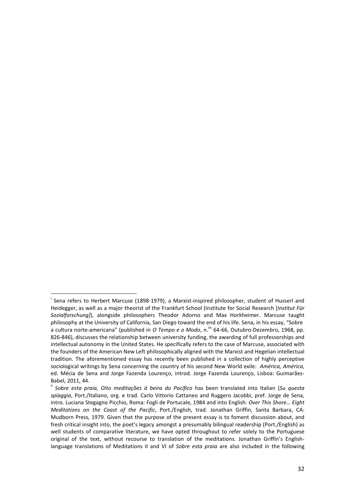l

i Sena refers to Herbert Marcuse (1898-1979), a Marxist-inspired philosopher, student of Husserl and Heidegger, as well as a major theorist of the Frankfurt School (Institute for Social Research [Institut Für Sozialforschung]), alongside philosophers Theodor Adorno and Max Horkheimer. Marcuse taught philosophy at the University of California, San Diego toward the end of his life. Sena, in his essay, "Sobre a cultura norte-americana" (published in O Tempo e o Modo, n.<sup>os</sup> 64-66, Outubro-Dezembro, 1968, pp. 826-846), discusses the relationship between university funding, the awarding of full professorships and intellectual autonomy in the United States. He specifically refers to the case of Marcuse, associated with the founders of the American New Left philosophically aligned with the Marxist and Hegelian intellectual tradition. The aforementioned essay has recently been published in a collection of highly perceptive sociological writings by Sena concerning the country of his second New World exile: América, América, ed. Mécia de Sena and Jorge Fazenda Lourenço, introd. Jorge Fazenda Lourenço, Lisboa: Guimarães-Babel, 2011, 44.

ii Sobre esta praia, Oito meditações à beira do Pacífico has been translated into Italian (Su questa spiaggia, Port./Italiano, org. e trad. Carlo Vittorio Cattaneo and Ruggero Jacobbi, pref. Jorge de Sena, intro. Luciana Stegagno Picchio, Roma: Fogli de Portucale, 1984 and into English: Over This Shore… Eight Meditations on the Coast of the Pacific, Port./English, trad. Jonathan Griffin, Santa Barbara, CA: Mudborn Press, 1979. Given that the purpose of the present essay is to foment discussion about, and fresh critical insight into, the poet's legacy amongst a presumably bilingual readership (Port./English) as well students of comparative literature, we have opted throughout to refer solely to the Portuguese original of the text, without recourse to translation of the meditations. Jonathan Griffin's Englishlanguage translations of Meditations II and VI of Sobre esta praia are also included in the following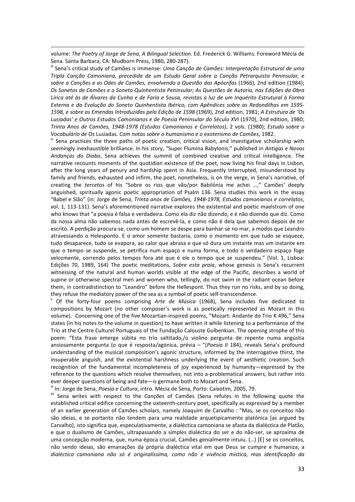volume: The Poetry of Jorge de Sena, A Bilingual Selection. Ed. Frederick G. Williams. Foreword Mécia de Sena. Santa Barbara, CA: Mudborn Press, 1980, 280-287).

-

**iii** Sena's critical study of Camões is immense: Uma Canção de Camões: Interpretação Estrutural de uma Tripla Canção Camoniana, precedida de um Estudo Geral sobre a Canção Petrarquista Peninsular, e sobre a Canções e as Odes de Camões, envolvendo a Questão das Apócrifas (1966), 2nd edition (1984); Os Sonetos de Camões e o Soneto Quinhentista Peninsular; As Questões de Autoria, nas Edições da Obra Lírica até às de Álvares da Cunha e de Faria e Sousa, revistas à luz de um Inquérito Estrutural à Forma Externa e da Evolução do Soneto Quinhentista Ibérico, com Apêndices sobre as Redondilhas em 1595- 1598, e sobre as Emendas Introduzidas pela Edição de 1598 (1969), 2nd edition, 1981; A Estrutura de 'Os Lusíadas' e Outros Estudos Camonianos e de Poesia Peninsular do Século XVI (1970), 2nd edition, 1980; Trinta Anos de Camões, 1948-1978 (Estudos Camonianos e Correlatos), 2 vols. (1980); Estudo sobre o Vocabulário de Os Lusíadas. Com notas sobre o humanismo e o exoterismo de Camões, 1982.

<sup>iv</sup> Sena practices the three paths of poetic creation, critical vision, and investigative scholarship with seemingly inexhaustible brilliance. In his story, "Super Flumina Babylonis," published in Antigas e Novas Andanças do Diabo, Sena achieves the summit of combined creative and critical intelligence. The narrative recounts moments of the quotidian existence of the poet, now living his final days in Lisbon, after the long years of penury and hardship spent in Asia. Frequently interrupted, misunderstood by family and friends, exhausted and infirm, the poet, nonetheless, is on the verge, in Sena's narrative, of creating the tercetos of his "Sobre os rios que vão/por Babilónia me achei …," Camões' deeply anguished, spiritually agonic poetic appropriation of Psalm 136. Sena studies this work in the essay "Babel e Sião" (in: Jorge de Sena, Trinta anos de Camões, 1948-1978, Estudos camonianos e correlatos, vol. 1, 113-131). Sena's aforementioned narrative explores the existential and poetic maelstrom of one who knows that "a poesia é falsa e verdadeira. Como ela diz não dizendo, e é não dizendo que diz. Como da nossa alma não sabemos nada antes de escrevê-la, e como não é dela que sabemos depois de ter escrito. A perdição procura-se, como um homem se despe para banhar-se no mar, a modos que Leandro atravessando o Helesponto. E o amor somente bastaria, como o momento em que tudo se esquece, tudo desaparece, tudo se evapora, ao calor que abrasa e que só dura um instante mas um instante em que o tempo se suspende, se petrifica num espaço e numa forma, e todo o verdadeiro espaço foge velozmente, correndo pelos tempos fora até que é ele o tempo que se suspendeu." (Vol. 1, Lisboa: Edições 70, 1989, 164) The poetic meditations, Sobre esta praia, whose genesis is Sena's recurrent witnessing of the natural and human worlds visible at the edge of the Pacific, describes a world of supine or otherwise spectral men and women who, tellingly, do not swim in the radiant ocean before them, in contradistinction to "Leandro" before the Hellespont. Thus they run no risks, and by so doing, they refuse the mediatory power of the sea as a symbol of poetic self-transcendence.

<sup>v</sup> Of the forty-four poems comprising Arte de Música (1968), Sena includes five dedicated to compositions by Mozart (no other composer's work is as poetically represented as Mozart in this volume). Concerning one of the five Mozartian-inspired poems, "Mozart: Andante do Trio K 496," Sena states (in his notes to the volume in question) to have written it while listening to a performance of the Trio at the Centre Culturel Portuguais of the Fundação Calouste Gulbenkian. The opening strophe of this poem: "Esta frase emerge súbita no trio saltitado,/o violino pergunta de repente numa angústia ansiosamente pergunta (o que é resposta/agónica, prévia - "(Poesia II 184), reveals Sena's profound understanding of the musical composition's agonic structure, informed by the interrogative thirst, the insuperable anguish, and the existential harshness underlying the event of aesthetic creation. Such recognition of the fundamental incompleteness of joy experienced by humanity—expressed by the reference to the questions which resolve themselves, not into a-problematical answers, but rather into ever deeper questions of being and fate—is germane both to Mozart and Sena.

In: Jorge de Sena, Poesia e Cultura, intro. Mécia de Sena, Porto: Caixotim, 2005, 79.

vii Sena writes with respect to the Canções of Camões (Sena refutes in the following quote the established critical edifice concerning the sixteenth-century poet, specifically as expressed by a member of an earlier generation of Camões scholars, namely Joaquim de Carvalho : "Mas, se os conceitos não são ideias, e se portanto não tendem para uma realidade arquetipicamente platónica [as argued by Carvalho], isto significa que, especulativamente, a dialéctica camoniana se afasta da dialéctica de Platão, e que o dualismo de Camões, ultrapassando a simples dialéctica do ser e do não-ser, se aproxima de uma concepção moderna, que, numa época crucial, Camões genialmente intuiu. (…) [E] se os conceitos, não sendo ideias, são emanações da própria dialéctica vital em que Deus se cumpre e humaniza, a dialéctica camoniana não só é originalíssima, como não é vivência mística, mas identificação da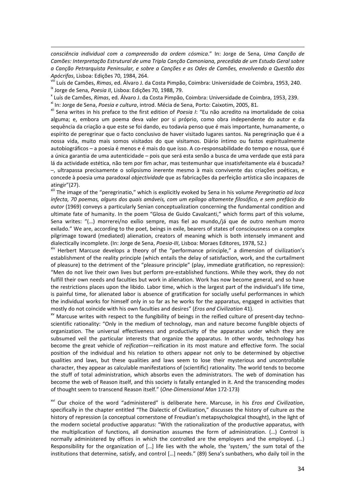consciência individual com a compreensão da ordem cósmica." In: Jorge de Sena, Uma Canção de Camões: Interpretação Estrutural de uma Tripla Canção Camoniana, precedida de um Estudo Geral sobre a Canção Petrarquista Peninsular, e sobre a Canções e as Odes de Camões, envolvendo a Questão das Apócrifas, Lisboa: Edições 70, 1984, 264.

<sup>viii</sup> Luís de Camões, *Rimas*, ed. Álvaro J. da Costa Pimpão, Coimbra: Universidade de Coimbra, 1953, 240. <sup>ix</sup> Jorge de Sena, Poesia II, Lisboa: Edições 70, 1988, 79.

x Luís de Camões, Rimas, ed. Álvaro J. da Costa Pimpão, Coimbra: Universidade de Coimbra, 1953, 239.

<sup>xi</sup> In: Jorge de Sena, Poesia e cultura, introd. Mécia de Sena, Porto: Caixotim, 2005, 81.

-

xii Sena writes in his preface to the first edition of Poesia I: "Eu não acredito na imortalidade de coisa alguma; e, embora um poema deva valer por si próprio, como obra independente do autor e da sequência da criação a que este se foi dando, eu todavia penso que é mais importante, humanamente, o espírito de peregrinar que o facto conclusivo de haver visitado lugares santos. Na peregrinação que é a nossa vida, muito mais somos visitados do que visitamos. Diário íntimo ou fastos espiritualmente autobiográficos – a poesia é menos e é mais do que isso. A co-responsabilidade do tempo e nossa, que é a única garantia de uma autenticidade – pois que será esta senão a busca de uma verdade que está para lá da actividade estética, não tem por fim achar, mas testemunhar que insatisfeitamente ela é buscada? –, ultrapassa precisamente o solipsismo inerente mesmo à mais convivente das criações poéticas, e concede à poesia uma paradoxal objectividade que as fabricações da perfeição artística são incapazes de atingir"(27).

<sup>xiii</sup> The image of the "peregrinatio," which is explicitly evoked by Sena in his volume Peregrinatio ad loca infecta, 70 poemas, alguns dos quais amáveis, com um epílogo altamente filosófico, e sem prefácio do autor (1969) conveys a particularly Senian conceptualization concerning the fundamental condition and ultimate fate of humanity. In the poem "Glosa de Guido Cavalcanti," which forms part of this volume, Sena writes: "(…) morrerei/no exílio sempre, mas fiel ao mundo,/já que de outro nenhum morro exilado." We are, according to the poet, beings in exile, bearers of states of consciousness on a complex pilgrimage toward (mediated) alienation, creators of meaning which is both intensely immanent and dialectically incomplete. (In: Jorge de Sena, Poesia-III, Lisboa: Moraes Editores, 1978, 52.)

xiv Herbert Marcuse develops a theory of the "performance principle," a dimension of civilization's establishment of the reality principle (which entails the delay of satisfaction, work, and the curtailment of pleasure) to the detriment of the "pleasure principle" (play, immediate gratification, no repression): "Men do not live their own lives but perform pre-established functions. While they work, they do not fulfill their own needs and faculties but work in alienation. Work has now become general, and so have the restrictions places upon the libido. Labor time, which is the largest part of the individual's life time, is painful time, for alienated labor is absence of gratification for socially useful performances in which the individual works for himself only in so far as he works for the apparatus, engaged in activities that mostly do not coincide with his own faculties and desires" (Eros and Civilization 41).

xv Marcuse writes with respect to the fungibility of beings in the reified culture of present-day technoscientific rationality: "Only in the medium of technology, man and nature become fungible objects of organization. The universal effectiveness and productivity of the apparatus under which they are subsumed veil the particular interests that organize the apparatus. In other words, technology has become the great vehicle of reification—reification in its most mature and effective form. The social position of the individual and his relation to others appear not only to be determined by objective qualities and laws, but these qualities and laws seem to lose their mysterious and uncontrollable character, they appear as calculable manifestations of (scientific) rationality. The world tends to become the stuff of total administration, which absorbs even the administrators. The web of domination has become the web of Reason itself, and this society is fatally entangled in it. And the transcending modes of thought seem to transcend Reason itself." (One-Dimensional Man 172-173)

<sup>xvi</sup> Our choice of the word "administered" is deliberate here. Marcuse, in his Eros and Civilization, specifically in the chapter entitled "The Dialectic of Civilization," discusses the history of culture as the history of repression (a conceptual cornerstone of Freudian's metapsychological thought), in the light of the modern societal productive apparatus: "With the rationalization of the productive apparatus, with the multiplication of functions, all domination assumes the form of administration. (…) Control is normally administered by offices in which the controlled are the employers and the employed. (...) Responsibility for the organization of […] life lies with the whole, the 'system,' the sum total of the institutions that determine, satisfy, and control […] needs." (89) Sena's sunbathers, who daily toil in the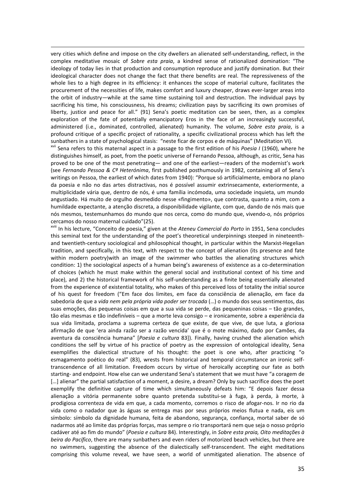very cities which define and impose on the city dwellers an alienated self-understanding, reflect, in the complex meditative mosaic of Sobre esta praia, a kindred sense of rationalized domination: "The ideology of today lies in that production and consumption reproduce and justify domination. But their ideological character does not change the fact that there benefits are real. The repressiveness of the whole lies to a high degree in its efficiency: it enhances the scope of material culture, facilitates the procurement of the necessities of life, makes comfort and luxury cheaper, draws ever-larger areas into the orbit of industry—while at the same time sustaining toil and destruction. The individual pays by sacrificing his time, his consciousness, his dreams; civilization pays by sacrificing its own promises of liberty, justice and peace for all." (91) Sena's poetic meditation can be seen, then, as a complex exploration of the fate of potentially emancipatory Eros in the face of an increasingly successful, administered (i.e., dominated, controlled, alienated) humanity. The volume, Sobre esta praia, is a profound critique of a specific project of rationality, a specific civilizational process which has left the sunbathers in a state of psychological stasis: "neste ficar de corpos e de máquinas" (Meditation VI).

-

<sup>xvii</sup> Sena refers to this maternal aspect in a passage to the first edition of his Poesia I (1960), where he distinguishes himself, as poet, from the poetic universe of Fernando Pessoa, although, as critic, Sena has proved to be one of the most penetrating— and one of the earliest—readers of the modernist's work (see Fernando Pessoa & C<sup>a</sup> Heterónima, first published posthumously in 1982, containing all of Sena's writings on Pessoa, the earliest of which dates from 1940): "Porque só artificialmente, embora no plano da poesia e não no das artes distractivas, nos é possível assumir extrinsecamente, exteriormente, a multiplicidade vária que, dentro de nós, é uma família incómoda, uma sociedade inquieta, um mundo angustiado. Há muito de orgulho desmedido nesse «fingimento», que contrasta, quanto a mim, com a humildade expectante, a atenção discreta, a disponibilidade vigilante, com que, dando de nós mais que nós mesmos, testemunhamos do mundo que nos cerca, como do mundo que, vivendo-o, nós próprios cercamos do nosso maternal cuidado"(25).

<sup>xviii</sup> In his lecture, "Conceito de poesia," given at the Ateneu Comercial do Porto in 1951, Sena concludes this seminal text for the understanding of the poet's theoretical underpinnings steeped in nineteenthand twentieth-century sociological and philosophical thought, in particular within the Marxist-Hegelian tradition, and specifically, in this text, with respect to the concept of alienation (its presence and fate within modern poetry)with an image of the swimmer who battles the alienating structures which condition: 1) the sociological aspects of a human being's awareness of existence as a co-determination of choices (which he must make within the general social and institutional context of his time and place), and 2) the historical framework of his self-understanding as a finite being essentially alienated from the experience of existential totality, who makes of this perceived loss of totality the initial source of his quest for freedom ("Em face dos limites, em face da consciência de alienação, em face da sabedoria de que a vida nem pela própria vida poder ser trocada (...) o mundo dos seus sentimentos, das suas emoções, das pequenas coisas em que a sua vida se perde, das pequeninas coisas – tão grandes, tão elas mesmas e tão indefiníveis – que a morte leva consigo – e ironicamente, sobre a experiência da sua vida limitada, proclama a suprema certeza de que existe, de que vive, de que luta, a gloriosa afirmação de que 'era ainda razão ser a razão vencida' que é o mote máximo, dado por Camões, da aventura da consciência humana" [Poesia e cultura 83]). Finally, having crushed the alienation which conditions the self by virtue of his practice of poetry as the expression of ontological ideality, Sena exemplifies the dialectical structure of his thought: the poet is one who, after practicing "o esmagamento poético do real" (83), wrests from historical and temporal circumstance an ironic selftranscendence of all limitation. Freedom occurs by virtue of heroically accepting our fate as both starting- and endpoint. How else can we understand Sena's statement that we must have "a coragem de [...] alienar" the partial satisfaction of a moment, a desire, a dream? Only by such sacrifice does the poet exemplify the definitive capture of time which simultaneously defeats him: "E depois fazer dessa alienação a vitória permanente sobre quanto pretenda substitui-se à fuga, à perda, à morte, à prodigiosa correnteza de vida em que, a cada momento, corremos o risco de afogar-nos. Ir no rio da vida como o nadador que às águas se entrega mas por seus próprios meios flutua e nada, eis um símbolo: símbolo da dignidade humana, feita de abandono, segurança, confiança, mortal saber de só nadarmos até ao limite das próprias forças, mas sempre o rio transportará nem que seja o nosso próprio cadáver até ao fim do mundo" (Poesia e cultura 84). Interestingly, in Sobre esta praia, Oito meditações à beira do Pacífico, there are many sunbathers and even riders of motorized beach vehicles, but there are no swimmers, suggesting the absence of the dialectically self-transcendent. The eight meditations comprising this volume reveal, we have seen, a world of unmitigated alienation. The absence of